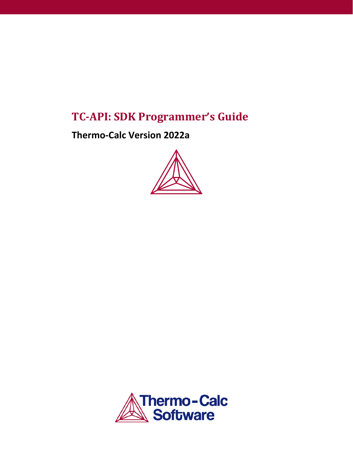# **TC-API: SDK Programmer's Guide**

**Thermo-Calc Version 2022a** 



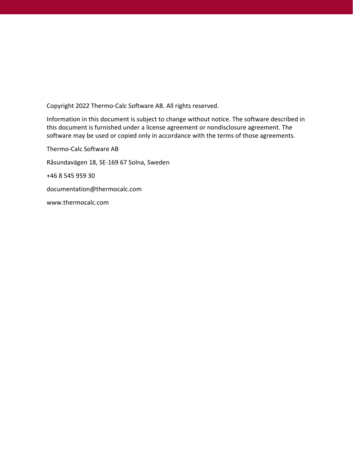Copyright 2022 Thermo-Calc Software AB. All rights reserved.

Information in this document is subject to change without notice. The software described in this document is furnished under a license agreement or nondisclosure agreement. The software may be used or copied only in accordance with the terms of those agreements.

Thermo-Calc Software AB Råsundavägen 18, SE-169 67 Solna, Sweden +46 8 545 959 30 [documentation@thermocalc.com](mailto:documentation@thermocalc.com) [www.thermocalc.com](http://www.thermocalc.com/)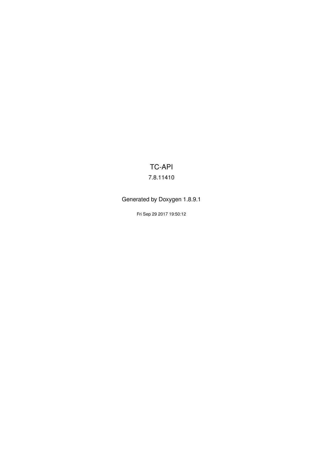# TC-API 7.8.11410

# Generated by Doxygen 1.8.9.1

Fri Sep 29 2017 19:50:12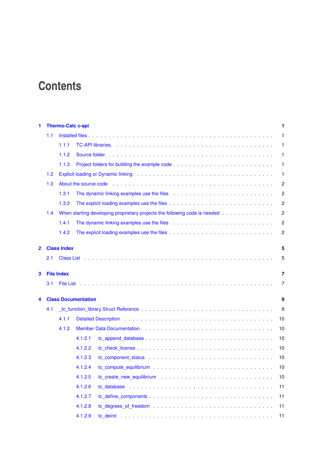# **Contents**

| 1              |     | <b>Thermo-Calc c-api</b> |                            |  |                                                                                                                                                                                                                                |  |  |  |  |  |  |  |  |  |  | 1              |
|----------------|-----|--------------------------|----------------------------|--|--------------------------------------------------------------------------------------------------------------------------------------------------------------------------------------------------------------------------------|--|--|--|--|--|--|--|--|--|--|----------------|
|                | 1.1 |                          |                            |  |                                                                                                                                                                                                                                |  |  |  |  |  |  |  |  |  |  | $\mathbf{1}$   |
|                |     | 1.1.1                    |                            |  |                                                                                                                                                                                                                                |  |  |  |  |  |  |  |  |  |  | $\mathbf{1}$   |
|                |     | 1.1.2                    |                            |  |                                                                                                                                                                                                                                |  |  |  |  |  |  |  |  |  |  | $\mathbf{1}$   |
|                |     | 1.1.3                    |                            |  |                                                                                                                                                                                                                                |  |  |  |  |  |  |  |  |  |  | $\mathbf{1}$   |
|                | 1.2 |                          |                            |  |                                                                                                                                                                                                                                |  |  |  |  |  |  |  |  |  |  | $\mathbf{1}$   |
|                | 1.3 |                          |                            |  |                                                                                                                                                                                                                                |  |  |  |  |  |  |  |  |  |  | $\overline{c}$ |
|                |     | 1.3.1                    |                            |  |                                                                                                                                                                                                                                |  |  |  |  |  |  |  |  |  |  | $\overline{c}$ |
|                |     | 1.3.2                    |                            |  |                                                                                                                                                                                                                                |  |  |  |  |  |  |  |  |  |  | $\overline{c}$ |
|                | 1.4 |                          |                            |  |                                                                                                                                                                                                                                |  |  |  |  |  |  |  |  |  |  | $\overline{c}$ |
|                |     | 1.4.1                    |                            |  |                                                                                                                                                                                                                                |  |  |  |  |  |  |  |  |  |  | $\overline{c}$ |
|                |     | 1.4.2                    |                            |  |                                                                                                                                                                                                                                |  |  |  |  |  |  |  |  |  |  | $\overline{c}$ |
|                |     |                          |                            |  |                                                                                                                                                                                                                                |  |  |  |  |  |  |  |  |  |  |                |
| $\overline{2}$ |     | <b>Class Index</b>       |                            |  |                                                                                                                                                                                                                                |  |  |  |  |  |  |  |  |  |  | 5              |
|                | 2.1 |                          |                            |  |                                                                                                                                                                                                                                |  |  |  |  |  |  |  |  |  |  | 5              |
| 3              |     | <b>File Index</b>        |                            |  |                                                                                                                                                                                                                                |  |  |  |  |  |  |  |  |  |  | 7              |
|                | 3.1 |                          |                            |  |                                                                                                                                                                                                                                |  |  |  |  |  |  |  |  |  |  | 7              |
|                |     |                          |                            |  |                                                                                                                                                                                                                                |  |  |  |  |  |  |  |  |  |  |                |
| 4              |     |                          | <b>Class Documentation</b> |  |                                                                                                                                                                                                                                |  |  |  |  |  |  |  |  |  |  | 9              |
|                | 4.1 |                          |                            |  |                                                                                                                                                                                                                                |  |  |  |  |  |  |  |  |  |  | 9              |
|                |     | 4.1.1                    |                            |  |                                                                                                                                                                                                                                |  |  |  |  |  |  |  |  |  |  | 10             |
|                |     | 4.1.2                    |                            |  |                                                                                                                                                                                                                                |  |  |  |  |  |  |  |  |  |  | 10             |
|                |     |                          | 4.1.2.1                    |  |                                                                                                                                                                                                                                |  |  |  |  |  |  |  |  |  |  | 10             |
|                |     |                          | 4.1.2.2                    |  |                                                                                                                                                                                                                                |  |  |  |  |  |  |  |  |  |  | 10             |
|                |     |                          | 4.1.2.3                    |  | to component status entertainment is a series of the status of the status of the status of the status of the status of the status of the status of the status of the status of the status of the status of the status of the s |  |  |  |  |  |  |  |  |  |  | 10             |
|                |     |                          | 4.1.2.4                    |  |                                                                                                                                                                                                                                |  |  |  |  |  |  |  |  |  |  | 10             |
|                |     |                          | 4.1.2.5                    |  |                                                                                                                                                                                                                                |  |  |  |  |  |  |  |  |  |  | 10             |
|                |     |                          | 4.1.2.6                    |  |                                                                                                                                                                                                                                |  |  |  |  |  |  |  |  |  |  | 11             |
|                |     |                          | 4.1.2.7                    |  |                                                                                                                                                                                                                                |  |  |  |  |  |  |  |  |  |  | 11             |
|                |     |                          | 4.1.2.8                    |  |                                                                                                                                                                                                                                |  |  |  |  |  |  |  |  |  |  | 11             |
|                |     |                          | 4.1.2.9                    |  |                                                                                                                                                                                                                                |  |  |  |  |  |  |  |  |  |  | 11             |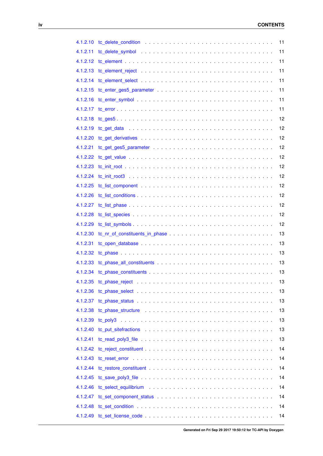| 4.1.2.10 |                          | 11 |
|----------|--------------------------|----|
| 4.1.2.11 |                          | 11 |
| 4.1.2.12 |                          | 11 |
| 4.1.2.13 |                          | 11 |
| 4.1.2.14 |                          | 11 |
| 4.1.2.15 |                          | 11 |
| 4.1.2.16 |                          | 11 |
| 4.1.2.17 |                          | 11 |
| 4.1.2.18 |                          | 12 |
| 4.1.2.19 |                          | 12 |
| 4.1.2.20 |                          | 12 |
| 4.1.2.21 |                          | 12 |
| 4.1.2.22 |                          | 12 |
| 4.1.2.23 |                          | 12 |
| 4.1.2.24 |                          | 12 |
| 4.1.2.25 |                          | 12 |
| 4.1.2.26 |                          | 12 |
| 4.1.2.27 |                          | 12 |
| 4.1.2.28 |                          | 12 |
| 4.1.2.29 |                          | 12 |
| 4.1.2.30 |                          | 13 |
| 4.1.2.31 |                          | 13 |
| 4.1.2.32 |                          | 13 |
| 4.1.2.33 |                          | 13 |
| 4.1.2.34 |                          | 13 |
|          | 4.1.2.35 tc_phase_reject | 13 |
| 4.1.2.36 |                          | 13 |
| 4.1.2.37 |                          | 13 |
| 4.1.2.38 |                          | 13 |
| 4.1.2.39 |                          | 13 |
| 4.1.2.40 |                          | 13 |
| 4.1.2.41 |                          | 13 |
| 4.1.2.42 |                          | 14 |
| 4.1.2.43 |                          | 14 |
| 4.1.2.44 |                          | 14 |
| 4.1.2.45 |                          | 14 |
| 4.1.2.46 |                          | 14 |
| 4.1.2.47 |                          | 14 |
| 4.1.2.48 |                          | 14 |
| 4.1.2.49 |                          | 14 |
|          |                          |    |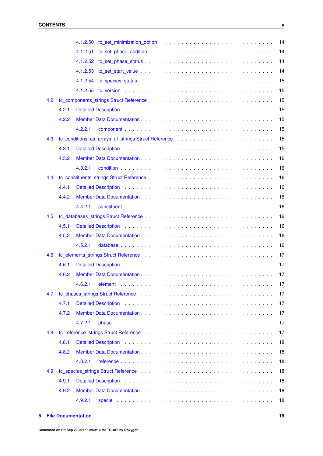|     |       | 4.1.2.50 to set minimization option $\ldots \ldots \ldots \ldots \ldots \ldots \ldots \ldots \ldots \ldots \ldots$<br>14                                                                                                             |
|-----|-------|--------------------------------------------------------------------------------------------------------------------------------------------------------------------------------------------------------------------------------------|
|     |       | 14<br>4.1.2.51                                                                                                                                                                                                                       |
|     |       | 14                                                                                                                                                                                                                                   |
|     |       | 14                                                                                                                                                                                                                                   |
|     |       | 15                                                                                                                                                                                                                                   |
|     |       | 15                                                                                                                                                                                                                                   |
| 4.2 |       | 15                                                                                                                                                                                                                                   |
|     | 4.2.1 | 15<br>Detailed Description entertainment of the state of the state of the state of the state of the state of the state of the state of the state of the state of the state of the state of the state of the state of the state of th |
|     | 4.2.2 | 15                                                                                                                                                                                                                                   |
|     |       | 15<br>4.2.2.1                                                                                                                                                                                                                        |
| 4.3 |       | 15<br>to_conditions_as_arrays_of_strings Struct Reference enterprise in the set of the conditions as arrays_of_strings Struct Reference                                                                                              |
|     | 4.3.1 | 15                                                                                                                                                                                                                                   |
|     | 4.3.2 | 16                                                                                                                                                                                                                                   |
|     |       | 16<br>4.3.2.1                                                                                                                                                                                                                        |
| 4.4 |       | 16                                                                                                                                                                                                                                   |
|     | 4.4.1 | 16                                                                                                                                                                                                                                   |
|     | 4.4.2 | 16                                                                                                                                                                                                                                   |
|     |       | 16<br>4.4.2.1                                                                                                                                                                                                                        |
| 4.5 |       | 16                                                                                                                                                                                                                                   |
|     | 4.5.1 | 16                                                                                                                                                                                                                                   |
|     | 4.5.2 | 16                                                                                                                                                                                                                                   |
|     |       | 16<br>4.5.2.1                                                                                                                                                                                                                        |
| 4.6 |       | 17                                                                                                                                                                                                                                   |
|     | 4.6.1 | 17                                                                                                                                                                                                                                   |
|     | 4.6.2 | 17                                                                                                                                                                                                                                   |
|     |       | 4.6.2.1<br>17                                                                                                                                                                                                                        |
| 4.7 |       | to_phases_strings Struct Reference enterprise in the set of the structure of the structure of the structure of the structure of the structure of the structure of the structure of the structure of the structure of the struc<br>17 |
|     | 4.7.1 | 17                                                                                                                                                                                                                                   |
|     | 4.7.2 | 17                                                                                                                                                                                                                                   |
|     |       | 4.7.2.1<br>17                                                                                                                                                                                                                        |
| 4.8 |       | to_reference_strings Struct Reference (a) and (a) and (a) and (a) and (a) and (a) and (a) and (a) and (a) and (a) and (a) and (a) and (a) and (a) and (a) and (a) and (a) and (a) and (a) and (a) and (a) and (a) and (a) and<br>17  |
|     | 4.8.1 | 18                                                                                                                                                                                                                                   |
|     | 4.8.2 | 18                                                                                                                                                                                                                                   |
|     |       | 18<br>4.8.2.1                                                                                                                                                                                                                        |
| 4.9 |       | 18                                                                                                                                                                                                                                   |
|     | 4.9.1 | Detailed Description (a) and a subset of the set of the set of the set of the set of the set of the set of the set of the set of the set of the set of the set of the set of the set of the set of the set of the set of the s<br>18 |
|     | 4.9.2 | 18                                                                                                                                                                                                                                   |
|     |       | 4.9.2.1<br>18                                                                                                                                                                                                                        |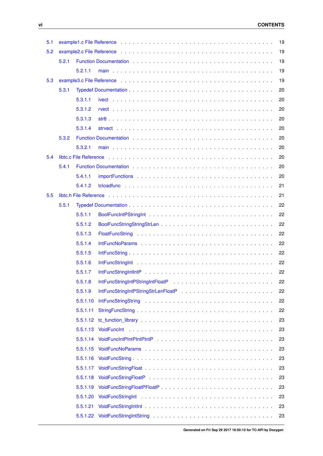| 5.1 |       |          | example 1.c File Reference enterprise on the contract of the contract of the contract of the contract of the c                                                                                                                 | 19 |
|-----|-------|----------|--------------------------------------------------------------------------------------------------------------------------------------------------------------------------------------------------------------------------------|----|
| 5.2 |       |          |                                                                                                                                                                                                                                | 19 |
|     | 5.2.1 |          |                                                                                                                                                                                                                                | 19 |
|     |       | 5.2.1.1  |                                                                                                                                                                                                                                | 19 |
| 5.3 |       |          |                                                                                                                                                                                                                                | 19 |
|     | 5.3.1 |          |                                                                                                                                                                                                                                | 20 |
|     |       | 5.3.1.1  |                                                                                                                                                                                                                                | 20 |
|     |       | 5.3.1.2  |                                                                                                                                                                                                                                | 20 |
|     |       | 5.3.1.3  |                                                                                                                                                                                                                                | 20 |
|     |       | 5.3.1.4  |                                                                                                                                                                                                                                | 20 |
|     | 5.3.2 |          | Function Documentation enterprise and and all the contracts of the contracts of the contracts of the contracts of the contracts of the contracts of the contracts of the contracts of the contracts of the contracts of the co | 20 |
|     |       | 5.3.2.1  |                                                                                                                                                                                                                                | 20 |
| 5.4 |       |          | libte.c File Reference (et al., and a series and a series and a series and a series of the Reference (et al., and a series of the Reference of the series of the series of the series of the SI and the SI and the SI and the  | 20 |
|     | 5.4.1 |          |                                                                                                                                                                                                                                | 20 |
|     |       | 5.4.1.1  |                                                                                                                                                                                                                                | 20 |
|     |       | 5.4.1.2  |                                                                                                                                                                                                                                | 21 |
| 5.5 |       |          | libtc.h File Reference (and a contract of the contract of the contract of the contract of the Reference (and a                                                                                                                 | 21 |
|     | 5.5.1 |          |                                                                                                                                                                                                                                | 22 |
|     |       | 5.5.1.1  |                                                                                                                                                                                                                                | 22 |
|     |       | 5.5.1.2  |                                                                                                                                                                                                                                | 22 |
|     |       | 5.5.1.3  |                                                                                                                                                                                                                                | 22 |
|     |       | 5.5.1.4  |                                                                                                                                                                                                                                | 22 |
|     |       | 5.5.1.5  |                                                                                                                                                                                                                                | 22 |
|     |       | 5.5.1.6  |                                                                                                                                                                                                                                | 22 |
|     |       | 5.5.1.7  |                                                                                                                                                                                                                                | 22 |
|     |       | 5.5.1.8  | IntFuncStringIntPStringIntFloatP entertainment in the state of the state of the state of the state of the state of the state of the state of the state of the state of the state of the state of the state of the state of the | 22 |
|     |       | 5.5.1.9  |                                                                                                                                                                                                                                | 22 |
|     |       | 5.5.1.10 |                                                                                                                                                                                                                                | 22 |
|     |       | 5.5.1.11 |                                                                                                                                                                                                                                | 22 |
|     |       | 5.5.1.12 |                                                                                                                                                                                                                                | 23 |
|     |       | 5.5.1.13 |                                                                                                                                                                                                                                | 23 |
|     |       | 5.5.1.14 |                                                                                                                                                                                                                                | 23 |
|     |       | 5.5.1.15 |                                                                                                                                                                                                                                | 23 |
|     |       | 5.5.1.16 |                                                                                                                                                                                                                                | 23 |
|     |       | 5.5.1.17 |                                                                                                                                                                                                                                | 23 |
|     |       | 5.5.1.18 |                                                                                                                                                                                                                                | 23 |
|     |       | 5.5.1.19 |                                                                                                                                                                                                                                | 23 |
|     |       | 5.5.1.20 |                                                                                                                                                                                                                                | 23 |
|     |       | 5.5.1.21 |                                                                                                                                                                                                                                | 23 |
|     |       | 5.5.1.22 |                                                                                                                                                                                                                                | 23 |
|     |       |          |                                                                                                                                                                                                                                |    |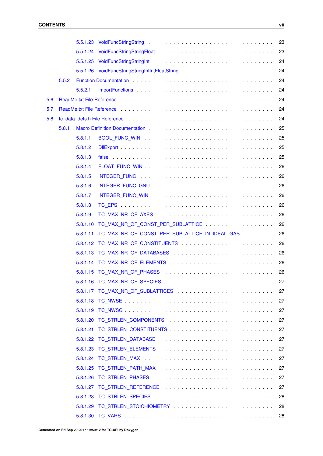|     |       |          |                                                                                                                                                                                                                                | 23 |
|-----|-------|----------|--------------------------------------------------------------------------------------------------------------------------------------------------------------------------------------------------------------------------------|----|
|     |       |          |                                                                                                                                                                                                                                | 23 |
|     |       |          |                                                                                                                                                                                                                                | 24 |
|     |       |          |                                                                                                                                                                                                                                | 24 |
|     | 5.5.2 |          |                                                                                                                                                                                                                                | 24 |
|     |       | 5.5.2.1  |                                                                                                                                                                                                                                | 24 |
| 5.6 |       |          |                                                                                                                                                                                                                                | 24 |
| 5.7 |       |          | ReadMe.txt File Reference enterprise and and an article of the service of the service of the service of the service of the service of the service of the service of the service of the service of the service of the service o | 24 |
| 5.8 |       |          |                                                                                                                                                                                                                                | 24 |
|     | 5.8.1 |          |                                                                                                                                                                                                                                | 25 |
|     |       | 5.8.1.1  |                                                                                                                                                                                                                                | 25 |
|     |       | 5.8.1.2  |                                                                                                                                                                                                                                | 25 |
|     |       | 5.8.1.3  |                                                                                                                                                                                                                                | 25 |
|     |       | 5.8.1.4  |                                                                                                                                                                                                                                | 26 |
|     |       | 5.8.1.5  |                                                                                                                                                                                                                                | 26 |
|     |       | 5.8.1.6  |                                                                                                                                                                                                                                | 26 |
|     |       | 5.8.1.7  |                                                                                                                                                                                                                                | 26 |
|     |       | 5.8.1.8  |                                                                                                                                                                                                                                | 26 |
|     |       | 5.8.1.9  |                                                                                                                                                                                                                                | 26 |
|     |       | 5.8.1.10 | TC_MAX_NR_OF_CONST_PER_SUBLATTICE                                                                                                                                                                                              | 26 |
|     |       | 5.8.1.11 | TC_MAX_NR_OF_CONST_PER_SUBLATTICE_IN_IDEAL_GAS                                                                                                                                                                                 | 26 |
|     |       | 5.8.1.12 |                                                                                                                                                                                                                                | 26 |
|     |       | 5.8.1.13 |                                                                                                                                                                                                                                | 26 |
|     |       | 5.8.1.14 |                                                                                                                                                                                                                                | 26 |
|     |       | 5.8.1.15 |                                                                                                                                                                                                                                | 26 |
|     |       |          |                                                                                                                                                                                                                                | 27 |
|     |       |          |                                                                                                                                                                                                                                | 27 |
|     |       |          |                                                                                                                                                                                                                                | 27 |
|     |       |          |                                                                                                                                                                                                                                | 27 |
|     |       |          |                                                                                                                                                                                                                                | 27 |
|     |       |          |                                                                                                                                                                                                                                | 27 |
|     |       |          |                                                                                                                                                                                                                                | 27 |
|     |       |          |                                                                                                                                                                                                                                | 27 |
|     |       |          |                                                                                                                                                                                                                                | 27 |
|     |       | 5.8.1.25 |                                                                                                                                                                                                                                | 27 |
|     |       |          |                                                                                                                                                                                                                                | 27 |
|     |       |          |                                                                                                                                                                                                                                | 27 |
|     |       |          |                                                                                                                                                                                                                                | 28 |
|     |       |          |                                                                                                                                                                                                                                | 28 |
|     |       |          |                                                                                                                                                                                                                                | 28 |
|     |       |          |                                                                                                                                                                                                                                |    |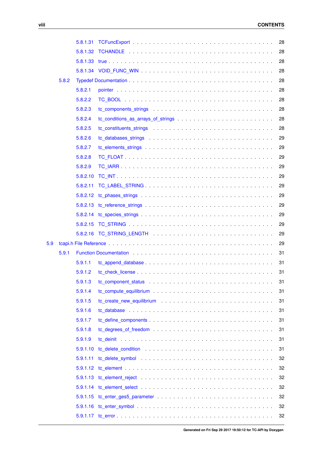|     |       | 5.8.1.31 |                                                                                                                                                                                                                                | 28 |
|-----|-------|----------|--------------------------------------------------------------------------------------------------------------------------------------------------------------------------------------------------------------------------------|----|
|     |       | 5.8.1.32 |                                                                                                                                                                                                                                | 28 |
|     |       | 5.8.1.33 |                                                                                                                                                                                                                                | 28 |
|     |       |          |                                                                                                                                                                                                                                | 28 |
|     | 5.8.2 |          |                                                                                                                                                                                                                                | 28 |
|     |       | 5.8.2.1  |                                                                                                                                                                                                                                | 28 |
|     |       | 5.8.2.2  |                                                                                                                                                                                                                                | 28 |
|     |       | 5.8.2.3  |                                                                                                                                                                                                                                | 28 |
|     |       | 5.8.2.4  |                                                                                                                                                                                                                                | 28 |
|     |       | 5.8.2.5  | tc_constituents_strings example. The set of the set of the set of the set of the set of the set of the set of the set of the set of the set of the set of the set of the set of the set of the set of the set of the set of th | 28 |
|     |       | 5.8.2.6  |                                                                                                                                                                                                                                | 29 |
|     |       | 5.8.2.7  |                                                                                                                                                                                                                                | 29 |
|     |       | 5.8.2.8  |                                                                                                                                                                                                                                | 29 |
|     |       | 5.8.2.9  |                                                                                                                                                                                                                                | 29 |
|     |       | 5.8.2.10 |                                                                                                                                                                                                                                | 29 |
|     |       | 5.8.2.11 |                                                                                                                                                                                                                                | 29 |
|     |       |          |                                                                                                                                                                                                                                | 29 |
|     |       |          |                                                                                                                                                                                                                                | 29 |
|     |       |          |                                                                                                                                                                                                                                | 29 |
|     |       | 5.8.2.15 |                                                                                                                                                                                                                                | 29 |
|     |       |          |                                                                                                                                                                                                                                | 29 |
| 5.9 |       |          |                                                                                                                                                                                                                                | 29 |
|     | 5.9.1 |          | Function Documentation enterprise to the contract of the contract of the contract of the contract of the contract of the contract of the contract of the contract of the contract of the contract of the contract of the contr | 31 |
|     |       | 5.9.1.1  |                                                                                                                                                                                                                                | 31 |
|     |       | 5.9.1.2  |                                                                                                                                                                                                                                | 31 |
|     |       | 5.9.1.3  | to component status response to the component status response to the component status of the component of the compo                                                                                                            | 31 |
|     |       | 5.9.1.4  |                                                                                                                                                                                                                                | 31 |
|     |       | 5.9.1.5  |                                                                                                                                                                                                                                | 31 |
|     |       | 5.9.1.6  |                                                                                                                                                                                                                                | 31 |
|     |       | 5.9.1.7  |                                                                                                                                                                                                                                | 31 |
|     |       | 5.9.1.8  |                                                                                                                                                                                                                                | 31 |
|     |       | 5.9.1.9  |                                                                                                                                                                                                                                | 31 |
|     |       | 5.9.1.10 |                                                                                                                                                                                                                                | 31 |
|     |       | 5.9.1.11 |                                                                                                                                                                                                                                | 32 |
|     |       |          |                                                                                                                                                                                                                                | 32 |
|     |       |          |                                                                                                                                                                                                                                | 32 |
|     |       |          |                                                                                                                                                                                                                                | 32 |
|     |       |          |                                                                                                                                                                                                                                | 32 |
|     |       |          |                                                                                                                                                                                                                                | 32 |
|     |       |          |                                                                                                                                                                                                                                | 32 |
|     |       |          |                                                                                                                                                                                                                                |    |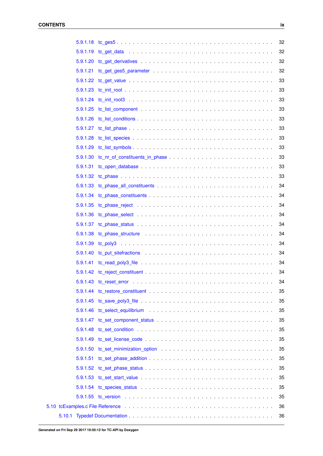| 32<br>32<br>32<br>33<br>33<br>33<br>33<br>33<br>33<br>33<br>33<br>33<br>33<br>33<br>34<br>34<br>34<br>34<br>34<br>34<br>34<br>34<br>34<br>34<br>34<br>35<br>35<br>35<br>35<br>35<br>35<br>35<br>35<br>35<br>35<br>35<br>35<br>36 |  | 32 |
|----------------------------------------------------------------------------------------------------------------------------------------------------------------------------------------------------------------------------------|--|----|
|                                                                                                                                                                                                                                  |  |    |
|                                                                                                                                                                                                                                  |  |    |
|                                                                                                                                                                                                                                  |  |    |
|                                                                                                                                                                                                                                  |  |    |
|                                                                                                                                                                                                                                  |  |    |
|                                                                                                                                                                                                                                  |  |    |
|                                                                                                                                                                                                                                  |  |    |
|                                                                                                                                                                                                                                  |  |    |
|                                                                                                                                                                                                                                  |  |    |
|                                                                                                                                                                                                                                  |  |    |
|                                                                                                                                                                                                                                  |  |    |
|                                                                                                                                                                                                                                  |  |    |
|                                                                                                                                                                                                                                  |  |    |
|                                                                                                                                                                                                                                  |  |    |
|                                                                                                                                                                                                                                  |  |    |
|                                                                                                                                                                                                                                  |  |    |
|                                                                                                                                                                                                                                  |  |    |
|                                                                                                                                                                                                                                  |  |    |
|                                                                                                                                                                                                                                  |  |    |
|                                                                                                                                                                                                                                  |  |    |
|                                                                                                                                                                                                                                  |  |    |
|                                                                                                                                                                                                                                  |  |    |
|                                                                                                                                                                                                                                  |  |    |
|                                                                                                                                                                                                                                  |  |    |
|                                                                                                                                                                                                                                  |  |    |
|                                                                                                                                                                                                                                  |  |    |
|                                                                                                                                                                                                                                  |  |    |
|                                                                                                                                                                                                                                  |  |    |
|                                                                                                                                                                                                                                  |  |    |
|                                                                                                                                                                                                                                  |  |    |
|                                                                                                                                                                                                                                  |  |    |
|                                                                                                                                                                                                                                  |  |    |
|                                                                                                                                                                                                                                  |  |    |
|                                                                                                                                                                                                                                  |  |    |
|                                                                                                                                                                                                                                  |  |    |
|                                                                                                                                                                                                                                  |  |    |
|                                                                                                                                                                                                                                  |  |    |
|                                                                                                                                                                                                                                  |  |    |
| 36                                                                                                                                                                                                                               |  |    |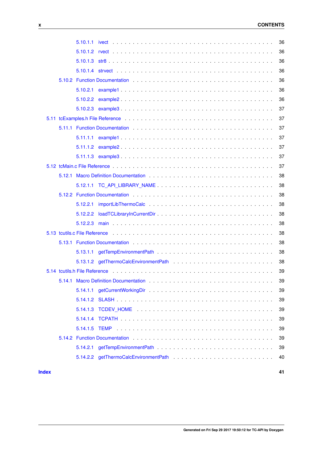|              |                                                                                                                                                                                                                                | 36 |
|--------------|--------------------------------------------------------------------------------------------------------------------------------------------------------------------------------------------------------------------------------|----|
|              |                                                                                                                                                                                                                                | 36 |
|              |                                                                                                                                                                                                                                | 36 |
|              |                                                                                                                                                                                                                                | 36 |
|              |                                                                                                                                                                                                                                | 36 |
|              |                                                                                                                                                                                                                                | 36 |
|              |                                                                                                                                                                                                                                | 36 |
|              |                                                                                                                                                                                                                                | 37 |
|              |                                                                                                                                                                                                                                | 37 |
|              |                                                                                                                                                                                                                                | 37 |
|              |                                                                                                                                                                                                                                | 37 |
|              |                                                                                                                                                                                                                                | 37 |
|              |                                                                                                                                                                                                                                | 37 |
|              |                                                                                                                                                                                                                                | 37 |
|              |                                                                                                                                                                                                                                | 38 |
|              |                                                                                                                                                                                                                                | 38 |
|              |                                                                                                                                                                                                                                | 38 |
|              | 5.12.2.1                                                                                                                                                                                                                       | 38 |
|              | 5.12.2.2                                                                                                                                                                                                                       | 38 |
|              |                                                                                                                                                                                                                                | 38 |
|              | 5.13 toutils.c File Reference education of the contract of the contract of the contract of the contract of the                                                                                                                 | 38 |
|              |                                                                                                                                                                                                                                | 38 |
|              |                                                                                                                                                                                                                                | 38 |
|              |                                                                                                                                                                                                                                | 38 |
|              |                                                                                                                                                                                                                                | 39 |
|              |                                                                                                                                                                                                                                | 39 |
|              |                                                                                                                                                                                                                                | 39 |
|              |                                                                                                                                                                                                                                | 39 |
|              |                                                                                                                                                                                                                                | 39 |
|              | 5.14.1.4                                                                                                                                                                                                                       | 39 |
|              | 5.14.1.5<br>TEMP                                                                                                                                                                                                               | 39 |
|              | 5.14.2 Function Documentation enterprise to the contract of the contract of the contract of the contract of the contract of the contract of the contract of the contract of the contract of the contract of the contract of th | 39 |
|              | 5.14.2.1                                                                                                                                                                                                                       | 39 |
|              |                                                                                                                                                                                                                                | 40 |
| <b>Index</b> |                                                                                                                                                                                                                                | 41 |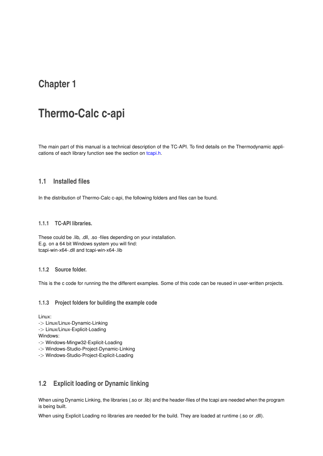# <span id="page-12-0"></span>**Thermo-Calc c-api**

The main part of this manual is a technical description of the TC-API. To find details on the Thermodynamic applications of each library function see the section on [tcapi.h.](#page-40-12)

# <span id="page-12-1"></span>**1.1 Installed files**

In the distribution of Thermo-Calc c-api, the following folders and files can be found.

#### <span id="page-12-2"></span>**1.1.1 TC-API libraries.**

These could be .lib, .dll, .so -files depending on your installation. E.g. on a 64 bit Windows system you will find: tcapi-win-x64-.dll and tcapi-win-x64-.lib

#### <span id="page-12-3"></span>**1.1.2 Source folder.**

This is the c code for running the the different examples. Some of this code can be reused in user-written projects.

#### <span id="page-12-4"></span>**1.1.3 Project folders for building the example code**

Linux:

-> Linux/Linux-Dynamic-Linking

-> Linux/Linux-Explicit-Loading

Windows:

- -> Windows-Mingw32-Explicit-Loading
- -> Windows-Studio-Project-Dynamic-Linking
- -> Windows-Studio-Project-Explicit-Loading

# <span id="page-12-5"></span>**1.2 Explicit loading or Dynamic linking**

When using Dynamic Linking, the libraries (.so or .lib) and the header-files of the tcapi are needed when the program is being built.

When using Explicit Loading no libraries are needed for the build. They are loaded at runtime (.so or .dll).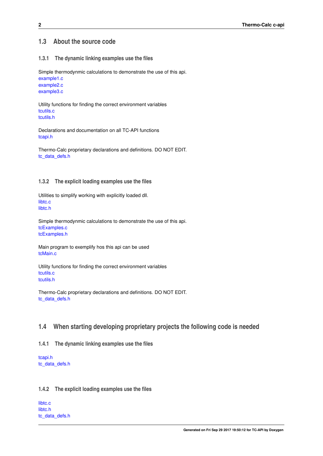## <span id="page-13-0"></span>**1.3 About the source code**

#### <span id="page-13-1"></span>**1.3.1 The dynamic linking examples use the files**

Simple thermodynmic calculations to demonstrate the use of this api.

[example1.c](#page-30-1) [example2.c](#page-30-6) [example3.c](#page-30-7)

Utility functions for finding the correct environment variables [tcutils.c](#page-49-10) [tcutils.h](#page-49-11)

Declarations and documentation on all TC-API functions [tcapi.h](#page-40-12)

Thermo-Calc proprietary declarations and definitions. DO NOT EDIT. [tc\\_data\\_defs.h](#page-35-6)

#### <span id="page-13-2"></span>**1.3.2 The explicit loading examples use the files**

Utilities to simplify working with explicitly loaded dll. [libtc.c](#page-31-10) [libtc.h](#page-32-2)

Simple thermodynmic calculations to demonstrate the use of this api. [tcExamples.c](#page-46-12) [tcExamples.h](#page-48-7)

Main program to exemplify hos this api can be used [tcMain.c](#page-48-8)

Utility functions for finding the correct environment variables [tcutils.c](#page-49-10) [tcutils.h](#page-49-11)

Thermo-Calc proprietary declarations and definitions. DO NOT EDIT. [tc\\_data\\_defs.h](#page-35-6)

# <span id="page-13-3"></span>**1.4 When starting developing proprietary projects the following code is needed**

#### <span id="page-13-4"></span>**1.4.1 The dynamic linking examples use the files**

[tcapi.h](#page-40-12) [tc\\_data\\_defs.h](#page-35-6)

#### <span id="page-13-5"></span>**1.4.2 The explicit loading examples use the files**

[libtc.c](#page-31-10) [libtc.h](#page-32-2) [tc\\_data\\_defs.h](#page-35-6)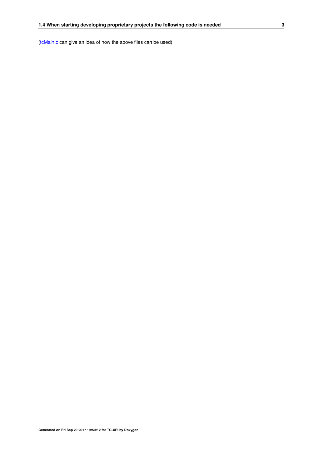[\(tcMain.c](#page-48-8) can give an idea of how the above files can be used)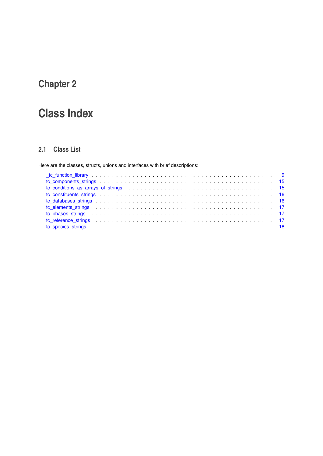# <span id="page-16-0"></span>**Class Index**

# <span id="page-16-1"></span>**2.1 Class List**

Here are the classes, structs, unions and interfaces with brief descriptions:

| to_components_strings enterprise in the components_strings enterprise in the components_strings enterprise in the component of the components of the components of the components of the components of the components of the c |  |
|--------------------------------------------------------------------------------------------------------------------------------------------------------------------------------------------------------------------------------|--|
| to conditions as arrays of strings entering the set of the set of strings and set of strings and set of strings the set of strings and set of strings and set of strings and set of strings and set of set of set of set of se |  |
| to constituents strings experience in the constitution of the constitution of the constituents strings experience in the constant of the constant of the constant of the constant of the constant of the constant of the const |  |
|                                                                                                                                                                                                                                |  |
| to elements strings entertainment and the contract of the contract of the contract of the contract of the contract of the contract of the contract of the contract of the contract of the contract of the contract of the cont |  |
|                                                                                                                                                                                                                                |  |
| to reference strings entertainment in the strings of the strings of the strings of the strings of the strings of the strings of the strings of the strings of the strings of the strings of the strings of the strings of the  |  |
| to species strings respectively and the species strings of the set of the set of the set of the set of the set of the set of the set of the set of the set of the set of the set of the set of the set of the set of the set o |  |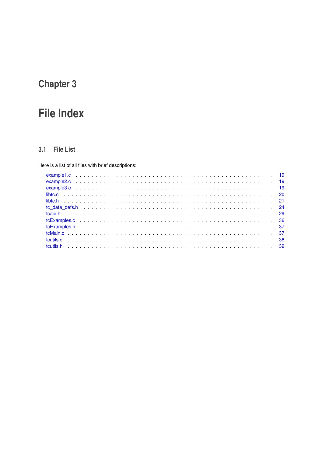# <span id="page-18-0"></span>**File Index**

# <span id="page-18-1"></span>3.1 File List

Here is a list of all files with brief descriptions: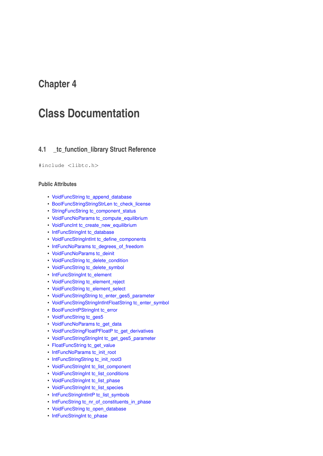# <span id="page-20-2"></span><span id="page-20-0"></span>**Class Documentation**

# <span id="page-20-1"></span>**4.1 \_tc\_function\_library Struct Reference**

#### #include <libtc.h>

#### **Public Attributes**

- [VoidFuncString](#page-34-13) [tc\\_append\\_database](#page-21-2)
- [BoolFuncStringStringStrLen](#page-33-12) [tc\\_check\\_license](#page-21-7)
- [StringFuncString](#page-33-13) [tc\\_component\\_status](#page-21-8)
- [VoidFuncNoParams](#page-34-14) [tc\\_compute\\_equilibrium](#page-21-9)
- [VoidFuncInt](#page-34-1) [tc\\_create\\_new\\_equilibrium](#page-21-10)
- [IntFuncStringInt](#page-33-14) [tc\\_database](#page-21-11)
- [VoidFuncStringIntInt](#page-34-15) [tc\\_define\\_components](#page-22-12)
- [IntFuncNoParams](#page-33-15) [tc\\_degrees\\_of\\_freedom](#page-22-13)
- [VoidFuncNoParams](#page-34-14) [tc\\_deinit](#page-22-14)
- [VoidFuncString](#page-34-13) [tc\\_delete\\_condition](#page-22-15)
- [VoidFuncString](#page-34-13) [tc\\_delete\\_symbol](#page-22-16)
- [IntFuncStringInt](#page-33-14) [tc\\_element](#page-22-17)
- [VoidFuncString](#page-34-13) [tc\\_element\\_reject](#page-22-18)
- [VoidFuncString](#page-34-13) [tc\\_element\\_select](#page-22-19)
- [VoidFuncStringString](#page-34-16) [tc\\_enter\\_ges5\\_parameter](#page-22-20)
- [VoidFuncStringStringIntIntFloatString](#page-35-7) [tc\\_enter\\_symbol](#page-22-21)
- [BoolFuncIntPStringInt](#page-33-1) [tc\\_error](#page-22-22)
- [VoidFuncString](#page-34-13) [tc\\_ges5](#page-22-23)
- [VoidFuncNoParams](#page-34-14) [tc\\_get\\_data](#page-23-12)
- [VoidFuncStringFloatPFloatP](#page-34-17) [tc\\_get\\_derivatives](#page-23-13)
- [VoidFuncStringStringInt](#page-34-18) [tc\\_get\\_ges5\\_parameter](#page-23-14)
- [FloatFuncString](#page-33-16) [tc\\_get\\_value](#page-23-15)
- [IntFuncNoParams](#page-33-15) [tc\\_init\\_root](#page-23-16)
- [IntFuncStringString](#page-33-17) [tc\\_init\\_root3](#page-23-17)
- [VoidFuncStringInt](#page-34-19) [tc\\_list\\_component](#page-23-18)
- [VoidFuncStringInt](#page-34-19) [tc\\_list\\_conditions](#page-23-19)
- [VoidFuncStringInt](#page-34-19) [tc\\_list\\_phase](#page-23-20)
- [VoidFuncStringInt](#page-34-19) [tc\\_list\\_species](#page-23-21)
- [IntFuncStringIntIntP](#page-33-18) [tc\\_list\\_symbols](#page-23-22)
- [IntFuncString](#page-33-19) [tc\\_nr\\_of\\_constituents\\_in\\_phase](#page-23-23)
- [VoidFuncString](#page-34-13) [tc\\_open\\_database](#page-24-12)
- [IntFuncStringInt](#page-33-14) [tc\\_phase](#page-24-13)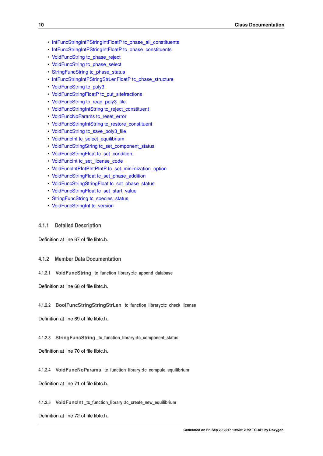- <span id="page-21-12"></span>• [IntFuncStringIntPStringIntFloatP](#page-33-20) [tc\\_phase\\_all\\_constituents](#page-24-14)
- [IntFuncStringIntPStringIntFloatP](#page-33-20) [tc\\_phase\\_constituents](#page-24-15)
- [VoidFuncString](#page-34-13) [tc\\_phase\\_reject](#page-24-16)
- [VoidFuncString](#page-34-13) [tc\\_phase\\_select](#page-24-17)
- [StringFuncString](#page-33-13) [tc\\_phase\\_status](#page-24-18)
- [IntFuncStringIntPStringStrLenFloatP](#page-33-21) [tc\\_phase\\_structure](#page-24-19)
- [VoidFuncString](#page-34-13) [tc\\_poly3](#page-24-20)
- [VoidFuncStringFloatP](#page-34-20) [tc\\_put\\_sitefractions](#page-24-21)
- [VoidFuncString](#page-34-13) [tc\\_read\\_poly3\\_file](#page-24-22)
- [VoidFuncStringIntString](#page-34-21) [tc\\_reject\\_constituent](#page-24-23)
- [VoidFuncNoParams](#page-34-14) [tc\\_reset\\_error](#page-25-12)
- [VoidFuncStringIntString](#page-34-21) [tc\\_restore\\_constituent](#page-25-13)
- [VoidFuncString](#page-34-13) [tc\\_save\\_poly3\\_file](#page-25-14)
- [VoidFuncInt](#page-34-1) [tc\\_select\\_equilibrium](#page-25-15)
- [VoidFuncStringString](#page-34-16) [tc\\_set\\_component\\_status](#page-25-16)
- [VoidFuncStringFloat](#page-34-22) [tc\\_set\\_condition](#page-25-17)
- [VoidFuncInt](#page-34-1) [tc\\_set\\_license\\_code](#page-25-18)
- [VoidFuncIntPIntPIntPIntP](#page-34-23) [tc\\_set\\_minimization\\_option](#page-25-19)
- [VoidFuncStringFloat](#page-34-22) [tc\\_set\\_phase\\_addition](#page-25-20)
- [VoidFuncStringStringFloat](#page-34-24) [tc\\_set\\_phase\\_status](#page-25-21)
- [VoidFuncStringFloat](#page-34-22) [tc\\_set\\_start\\_value](#page-25-22)
- [StringFuncString](#page-33-13) [tc\\_species\\_status](#page-25-23)
- [VoidFuncStringInt](#page-34-19) [tc\\_version](#page-26-10)

#### <span id="page-21-0"></span>**4.1.1 Detailed Description**

Definition at line 67 of file libtc.h.

#### <span id="page-21-1"></span>**4.1.2 Member Data Documentation**

<span id="page-21-2"></span>**4.1.2.1 VoidFuncString \_tc\_function\_library::tc\_append\_database**

<span id="page-21-7"></span>Definition at line 68 of file libtc.h.

#### <span id="page-21-3"></span>**4.1.2.2 BoolFuncStringStringStrLen \_tc\_function\_library::tc\_check\_license**

<span id="page-21-8"></span>Definition at line 69 of file libtc.h.

#### <span id="page-21-4"></span>**4.1.2.3 StringFuncString \_tc\_function\_library::tc\_component\_status**

<span id="page-21-9"></span>Definition at line 70 of file libtc.h.

#### <span id="page-21-5"></span>**4.1.2.4 VoidFuncNoParams \_tc\_function\_library::tc\_compute\_equilibrium**

<span id="page-21-10"></span>Definition at line 71 of file libtc.h.

<span id="page-21-6"></span>**4.1.2.5 VoidFuncInt \_tc\_function\_library::tc\_create\_new\_equilibrium**

<span id="page-21-11"></span>Definition at line 72 of file libtc.h.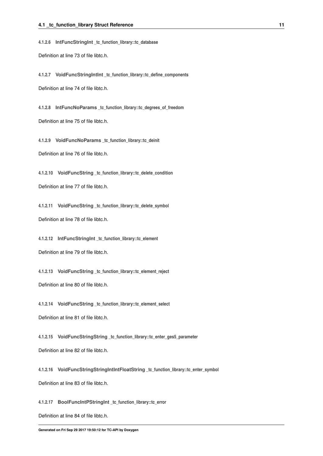<span id="page-22-24"></span><span id="page-22-0"></span>**4.1.2.6 IntFuncStringInt \_tc\_function\_library::tc\_database**

<span id="page-22-12"></span>Definition at line 73 of file libtc.h.

<span id="page-22-1"></span>**4.1.2.7 VoidFuncStringIntInt \_tc\_function\_library::tc\_define\_components**

<span id="page-22-13"></span>Definition at line 74 of file libtc.h.

<span id="page-22-2"></span>**4.1.2.8 IntFuncNoParams \_tc\_function\_library::tc\_degrees\_of\_freedom** Definition at line 75 of file libtc.h.

<span id="page-22-14"></span><span id="page-22-3"></span>**4.1.2.9 VoidFuncNoParams \_tc\_function\_library::tc\_deinit**

<span id="page-22-15"></span>Definition at line 76 of file libtc.h.

<span id="page-22-4"></span>**4.1.2.10 VoidFuncString \_tc\_function\_library::tc\_delete\_condition**

<span id="page-22-16"></span>Definition at line 77 of file libtc.h.

<span id="page-22-5"></span>**4.1.2.11 VoidFuncString \_tc\_function\_library::tc\_delete\_symbol** Definition at line 78 of file libtc.h.

<span id="page-22-17"></span><span id="page-22-6"></span>**4.1.2.12 IntFuncStringInt \_tc\_function\_library::tc\_element** Definition at line 79 of file libtc.h.

<span id="page-22-18"></span><span id="page-22-7"></span>**4.1.2.13 VoidFuncString \_tc\_function\_library::tc\_element\_reject** Definition at line 80 of file libtc.h.

<span id="page-22-19"></span><span id="page-22-8"></span>**4.1.2.14 VoidFuncString \_tc\_function\_library::tc\_element\_select**

<span id="page-22-20"></span>Definition at line 81 of file libtc.h.

<span id="page-22-9"></span>**4.1.2.15 VoidFuncStringString \_tc\_function\_library::tc\_enter\_ges5\_parameter** Definition at line 82 of file libtc.h.

<span id="page-22-21"></span><span id="page-22-10"></span>**4.1.2.16 VoidFuncStringStringIntIntFloatString \_tc\_function\_library::tc\_enter\_symbol** Definition at line 83 of file libtc.h.

<span id="page-22-22"></span><span id="page-22-11"></span>**4.1.2.17 BoolFuncIntPStringInt \_tc\_function\_library::tc\_error**

<span id="page-22-23"></span>Definition at line 84 of file libtc.h.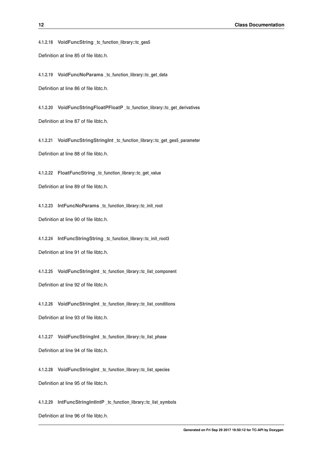<span id="page-23-24"></span><span id="page-23-0"></span>**4.1.2.18 VoidFuncString \_tc\_function\_library::tc\_ges5** Definition at line 85 of file libtc.h.

<span id="page-23-12"></span><span id="page-23-1"></span>**4.1.2.19 VoidFuncNoParams \_tc\_function\_library::tc\_get\_data**

<span id="page-23-13"></span>Definition at line 86 of file libtc.h.

<span id="page-23-2"></span>**4.1.2.20 VoidFuncStringFloatPFloatP \_tc\_function\_library::tc\_get\_derivatives** Definition at line 87 of file libtc.h.

<span id="page-23-14"></span><span id="page-23-3"></span>**4.1.2.21 VoidFuncStringStringInt \_tc\_function\_library::tc\_get\_ges5\_parameter** Definition at line 88 of file libtc.h.

<span id="page-23-15"></span><span id="page-23-4"></span>**4.1.2.22 FloatFuncString \_tc\_function\_library::tc\_get\_value**

<span id="page-23-16"></span>Definition at line 89 of file libtc.h.

<span id="page-23-5"></span>**4.1.2.23 IntFuncNoParams \_tc\_function\_library::tc\_init\_root** Definition at line 90 of file libtc.h.

<span id="page-23-17"></span><span id="page-23-6"></span>**4.1.2.24 IntFuncStringString \_tc\_function\_library::tc\_init\_root3** Definition at line 91 of file libtc.h.

<span id="page-23-18"></span><span id="page-23-7"></span>**4.1.2.25 VoidFuncStringInt \_tc\_function\_library::tc\_list\_component** Definition at line 92 of file libtc.h.

<span id="page-23-19"></span><span id="page-23-8"></span>**4.1.2.26 VoidFuncStringInt \_tc\_function\_library::tc\_list\_conditions** Definition at line 93 of file libtc.h.

<span id="page-23-20"></span><span id="page-23-9"></span>**4.1.2.27 VoidFuncStringInt \_tc\_function\_library::tc\_list\_phase** Definition at line 94 of file libtc.h.

<span id="page-23-21"></span><span id="page-23-10"></span>**4.1.2.28 VoidFuncStringInt \_tc\_function\_library::tc\_list\_species** Definition at line 95 of file libtc.h.

<span id="page-23-22"></span><span id="page-23-11"></span>**4.1.2.29 IntFuncStringIntIntP \_tc\_function\_library::tc\_list\_symbols**

<span id="page-23-23"></span>Definition at line 96 of file libtc.h.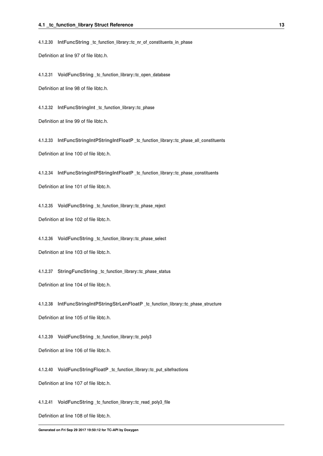<span id="page-24-24"></span><span id="page-24-0"></span>**4.1.2.30 IntFuncString \_tc\_function\_library::tc\_nr\_of\_constituents\_in\_phase**

<span id="page-24-12"></span>Definition at line 97 of file libtc.h.

<span id="page-24-1"></span>**4.1.2.31 VoidFuncString \_tc\_function\_library::tc\_open\_database**

<span id="page-24-13"></span>Definition at line 98 of file libtc.h.

<span id="page-24-2"></span>**4.1.2.32 IntFuncStringInt \_tc\_function\_library::tc\_phase**

<span id="page-24-14"></span>Definition at line 99 of file libtc.h.

<span id="page-24-3"></span>**4.1.2.33 IntFuncStringIntPStringIntFloatP \_tc\_function\_library::tc\_phase\_all\_constituents** Definition at line 100 of file libtc.h.

<span id="page-24-15"></span><span id="page-24-4"></span>**4.1.2.34 IntFuncStringIntPStringIntFloatP \_tc\_function\_library::tc\_phase\_constituents**

<span id="page-24-16"></span>Definition at line 101 of file libtc.h.

<span id="page-24-5"></span>**4.1.2.35 VoidFuncString \_tc\_function\_library::tc\_phase\_reject**

<span id="page-24-17"></span>Definition at line 102 of file libtc.h.

<span id="page-24-6"></span>**4.1.2.36 VoidFuncString \_tc\_function\_library::tc\_phase\_select**

<span id="page-24-18"></span>Definition at line 103 of file libtc.h.

<span id="page-24-7"></span>**4.1.2.37 StringFuncString \_tc\_function\_library::tc\_phase\_status**

<span id="page-24-19"></span>Definition at line 104 of file libtc.h.

<span id="page-24-8"></span>**4.1.2.38 IntFuncStringIntPStringStrLenFloatP \_tc\_function\_library::tc\_phase\_structure** Definition at line 105 of file libtc.h.

<span id="page-24-20"></span><span id="page-24-9"></span>**4.1.2.39 VoidFuncString \_tc\_function\_library::tc\_poly3** Definition at line 106 of file libtc.h.

<span id="page-24-21"></span><span id="page-24-10"></span>**4.1.2.40 VoidFuncStringFloatP \_tc\_function\_library::tc\_put\_sitefractions** Definition at line 107 of file libtc.h.

<span id="page-24-22"></span><span id="page-24-11"></span>**4.1.2.41 VoidFuncString \_tc\_function\_library::tc\_read\_poly3\_file**

<span id="page-24-23"></span>Definition at line 108 of file libtc.h.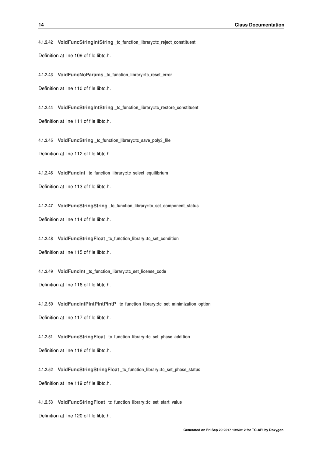<span id="page-25-24"></span><span id="page-25-0"></span>**4.1.2.42 VoidFuncStringIntString \_tc\_function\_library::tc\_reject\_constituent** Definition at line 109 of file libtc.h.

<span id="page-25-12"></span><span id="page-25-1"></span>**4.1.2.43 VoidFuncNoParams \_tc\_function\_library::tc\_reset\_error**

<span id="page-25-13"></span>Definition at line 110 of file libtc.h.

<span id="page-25-2"></span>**4.1.2.44 VoidFuncStringIntString \_tc\_function\_library::tc\_restore\_constituent** Definition at line 111 of file libtc.h.

<span id="page-25-14"></span><span id="page-25-3"></span>**4.1.2.45 VoidFuncString \_tc\_function\_library::tc\_save\_poly3\_file** Definition at line 112 of file libtc.h.

<span id="page-25-15"></span><span id="page-25-4"></span>**4.1.2.46 VoidFuncInt \_tc\_function\_library::tc\_select\_equilibrium**

<span id="page-25-16"></span>Definition at line 113 of file libtc.h.

<span id="page-25-5"></span>**4.1.2.47 VoidFuncStringString \_tc\_function\_library::tc\_set\_component\_status** Definition at line 114 of file libtc.h.

<span id="page-25-17"></span><span id="page-25-6"></span>**4.1.2.48 VoidFuncStringFloat \_tc\_function\_library::tc\_set\_condition** Definition at line 115 of file libtc.h.

<span id="page-25-18"></span><span id="page-25-7"></span>**4.1.2.49 VoidFuncInt \_tc\_function\_library::tc\_set\_license\_code** Definition at line 116 of file libtc.h.

<span id="page-25-19"></span><span id="page-25-8"></span>**4.1.2.50 VoidFuncIntPIntPIntPIntP \_tc\_function\_library::tc\_set\_minimization\_option** Definition at line 117 of file libtc.h.

<span id="page-25-20"></span><span id="page-25-9"></span>**4.1.2.51 VoidFuncStringFloat \_tc\_function\_library::tc\_set\_phase\_addition** Definition at line 118 of file libtc.h.

<span id="page-25-21"></span><span id="page-25-10"></span>**4.1.2.52 VoidFuncStringStringFloat \_tc\_function\_library::tc\_set\_phase\_status** Definition at line 119 of file libtc.h.

<span id="page-25-22"></span><span id="page-25-11"></span>**4.1.2.53 VoidFuncStringFloat \_tc\_function\_library::tc\_set\_start\_value**

<span id="page-25-23"></span>Definition at line 120 of file libtc.h.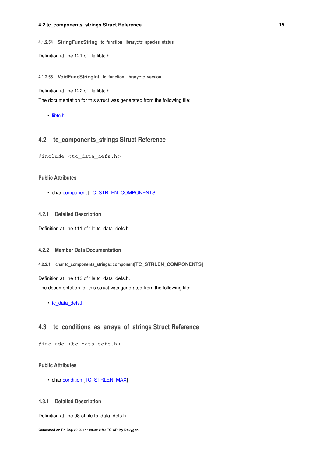<span id="page-26-11"></span><span id="page-26-0"></span>**4.1.2.54 StringFuncString \_tc\_function\_library::tc\_species\_status**

<span id="page-26-10"></span>Definition at line 121 of file libtc.h.

<span id="page-26-1"></span>**4.1.2.55 VoidFuncStringInt \_tc\_function\_library::tc\_version**

Definition at line 122 of file libtc.h.

The documentation for this struct was generated from the following file:

<span id="page-26-8"></span>• [libtc.h](#page-32-2)

# <span id="page-26-2"></span>**4.2 tc\_components\_strings Struct Reference**

#include <tc\_data\_defs.h>

#### **Public Attributes**

• char [component](#page-26-5) [\[TC\\_STRLEN\\_COMPONENTS\]](#page-38-12)

#### <span id="page-26-3"></span>**4.2.1 Detailed Description**

Definition at line 111 of file tc\_data\_defs.h.

#### <span id="page-26-4"></span>**4.2.2 Member Data Documentation**

<span id="page-26-5"></span>**4.2.2.1 char tc\_components\_strings::component[TC\_STRLEN\_COMPONENTS]**

Definition at line 113 of file tc\_data\_defs.h.

The documentation for this struct was generated from the following file:

<span id="page-26-9"></span>• [tc\\_data\\_defs.h](#page-35-6)

# <span id="page-26-6"></span>**4.3 tc\_conditions\_as\_arrays\_of\_strings Struct Reference**

#include <tc\_data\_defs.h>

## **Public Attributes**

• char [condition](#page-27-1) [\[TC\\_STRLEN\\_MAX\]](#page-38-13)

#### <span id="page-26-7"></span>**4.3.1 Detailed Description**

Definition at line 98 of file tc\_data\_defs.h.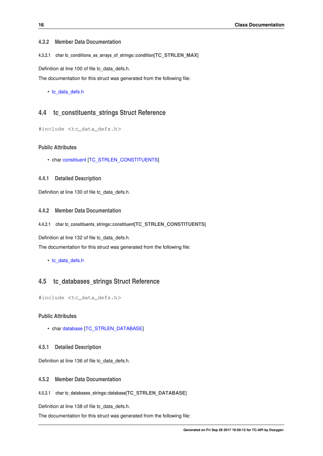#### <span id="page-27-12"></span><span id="page-27-0"></span>**4.3.2 Member Data Documentation**

<span id="page-27-1"></span>**4.3.2.1 char tc\_conditions\_as\_arrays\_of\_strings::condition[TC\_STRLEN\_MAX]**

Definition at line 100 of file tc\_data\_defs.h.

The documentation for this struct was generated from the following file:

• [tc\\_data\\_defs.h](#page-35-6)

## <span id="page-27-10"></span><span id="page-27-2"></span>**4.4 tc\_constituents\_strings Struct Reference**

#include <tc\_data\_defs.h>

#### **Public Attributes**

- char [constituent](#page-27-5) [\[TC\\_STRLEN\\_CONSTITUENTS\]](#page-38-14)
- <span id="page-27-3"></span>**4.4.1 Detailed Description**

Definition at line 130 of file tc\_data\_defs.h.

### <span id="page-27-4"></span>**4.4.2 Member Data Documentation**

<span id="page-27-5"></span>**4.4.2.1 char tc\_constituents\_strings::constituent[TC\_STRLEN\_CONSTITUENTS]**

Definition at line 132 of file tc\_data\_defs.h.

The documentation for this struct was generated from the following file:

• [tc\\_data\\_defs.h](#page-35-6)

# <span id="page-27-11"></span><span id="page-27-6"></span>**4.5 tc\_databases\_strings Struct Reference**

#include <tc\_data\_defs.h>

#### **Public Attributes**

• char [database](#page-27-9) [\[TC\\_STRLEN\\_DATABASE\]](#page-38-15)

#### <span id="page-27-7"></span>**4.5.1 Detailed Description**

Definition at line 136 of file tc\_data\_defs.h.

#### <span id="page-27-8"></span>**4.5.2 Member Data Documentation**

<span id="page-27-9"></span>**4.5.2.1 char tc\_databases\_strings::database[TC\_STRLEN\_DATABASE]**

Definition at line 138 of file tc\_data\_defs.h.

The documentation for this struct was generated from the following file: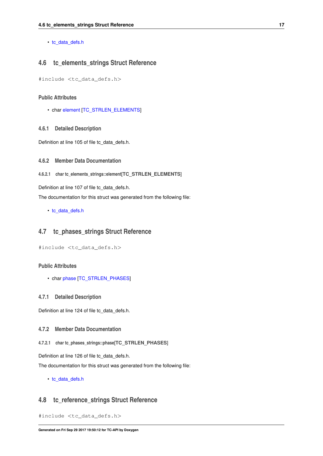<span id="page-28-12"></span>• [tc\\_data\\_defs.h](#page-35-6)

# <span id="page-28-9"></span><span id="page-28-0"></span>**4.6 tc\_elements\_strings Struct Reference**

#include <tc\_data\_defs.h>

#### **Public Attributes**

• char [element](#page-28-3) [\[TC\\_STRLEN\\_ELEMENTS\]](#page-38-16)

#### <span id="page-28-1"></span>**4.6.1 Detailed Description**

Definition at line 105 of file tc\_data\_defs.h.

<span id="page-28-2"></span>**4.6.2 Member Data Documentation**

<span id="page-28-3"></span>**4.6.2.1 char tc\_elements\_strings::element[TC\_STRLEN\_ELEMENTS]**

Definition at line 107 of file tc\_data\_defs.h.

The documentation for this struct was generated from the following file:

<span id="page-28-10"></span>• [tc\\_data\\_defs.h](#page-35-6)

# <span id="page-28-4"></span>**4.7 tc\_phases\_strings Struct Reference**

#include <tc\_data\_defs.h>

#### **Public Attributes**

• char [phase](#page-28-7) [\[TC\\_STRLEN\\_PHASES\]](#page-38-17)

#### <span id="page-28-5"></span>**4.7.1 Detailed Description**

Definition at line 124 of file tc\_data\_defs.h.

### <span id="page-28-6"></span>**4.7.2 Member Data Documentation**

<span id="page-28-7"></span>**4.7.2.1 char tc\_phases\_strings::phase[TC\_STRLEN\_PHASES]**

Definition at line 126 of file tc\_data\_defs.h.

The documentation for this struct was generated from the following file:

<span id="page-28-11"></span>• [tc\\_data\\_defs.h](#page-35-6)

## <span id="page-28-8"></span>**4.8 tc\_reference\_strings Struct Reference**

#include <tc\_data\_defs.h>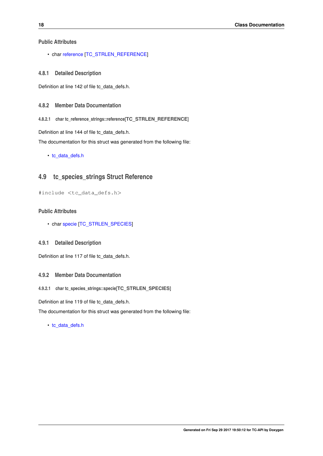<span id="page-29-8"></span>**Public Attributes**

• char [reference](#page-29-2) [\[TC\\_STRLEN\\_REFERENCE\]](#page-38-18)

<span id="page-29-0"></span>**4.8.1 Detailed Description**

Definition at line 142 of file tc\_data\_defs.h.

- <span id="page-29-1"></span>**4.8.2 Member Data Documentation**
- <span id="page-29-2"></span>**4.8.2.1 char tc\_reference\_strings::reference[TC\_STRLEN\_REFERENCE]**

Definition at line 144 of file tc\_data\_defs.h.

The documentation for this struct was generated from the following file:

• [tc\\_data\\_defs.h](#page-35-6)

# <span id="page-29-7"></span><span id="page-29-3"></span>**4.9 tc\_species\_strings Struct Reference**

#include <tc\_data\_defs.h>

### **Public Attributes**

• char [specie](#page-29-6) [\[TC\\_STRLEN\\_SPECIES\]](#page-38-19)

#### <span id="page-29-4"></span>**4.9.1 Detailed Description**

Definition at line 117 of file tc\_data\_defs.h.

#### <span id="page-29-5"></span>**4.9.2 Member Data Documentation**

#### <span id="page-29-6"></span>**4.9.2.1 char tc\_species\_strings::specie[TC\_STRLEN\_SPECIES]**

Definition at line 119 of file tc\_data\_defs.h.

The documentation for this struct was generated from the following file:

• [tc\\_data\\_defs.h](#page-35-6)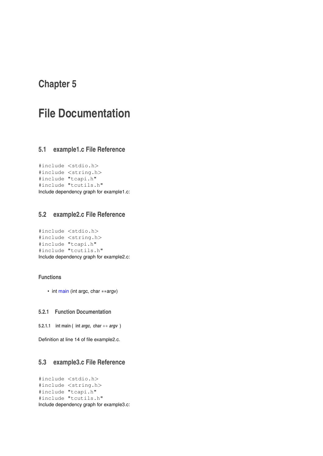# <span id="page-30-8"></span><span id="page-30-0"></span>**File Documentation**

# <span id="page-30-1"></span>**5.1 example1.c File Reference**

```
#include <stdio.h>
#include <string.h>
#include "tcapi.h"
#include "tcutils.h"
Include dependency graph for example1.c:
```
# <span id="page-30-6"></span><span id="page-30-2"></span>**5.2 example2.c File Reference**

```
#include <stdio.h>
#include <string.h>
#include "tcapi.h"
#include "tcutils.h"
Include dependency graph for example2.c:
```
# **Functions**

• int [main](#page-30-4) (int argc, char ∗∗argv)

## <span id="page-30-3"></span>**5.2.1 Function Documentation**

<span id="page-30-4"></span>**5.2.1.1 int main ( int** *argc,* **char** ∗∗ *argv* **)**

<span id="page-30-7"></span>Definition at line 14 of file example2.c.

# <span id="page-30-5"></span>**5.3 example3.c File Reference**

```
#include <stdio.h>
#include <string.h>
#include "tcapi.h"
#include "tcutils.h"
Include dependency graph for example3.c:
```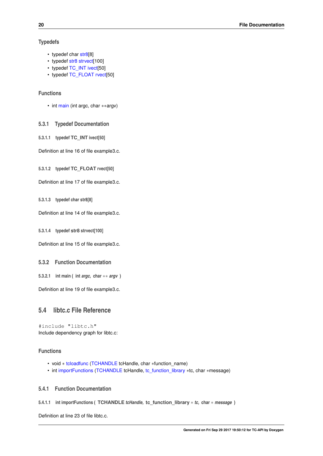#### <span id="page-31-15"></span>**Typedefs**

- typedef char [str8\[](#page-31-11)8]
- typedef [str8](#page-47-9) [strvect\[](#page-31-12)100]
- typedef [TC\\_INT](#page-40-13) [ivect\[](#page-31-1)50]
- typedef [TC\\_FLOAT](#page-40-14) [rvect\[](#page-31-13)50]

#### **Functions**

• int [main](#page-31-6) (int argc, char ∗∗argv)

<span id="page-31-0"></span>**5.3.1 Typedef Documentation**

<span id="page-31-1"></span>**5.3.1.1 typedef TC\_INT ivect[50]**

<span id="page-31-13"></span>Definition at line 16 of file example3.c.

<span id="page-31-2"></span>**5.3.1.2 typedef TC\_FLOAT rvect[50]**

<span id="page-31-11"></span>Definition at line 17 of file example3.c.

<span id="page-31-3"></span>**5.3.1.3 typedef char str8[8]**

<span id="page-31-12"></span>Definition at line 14 of file example3.c.

<span id="page-31-4"></span>**5.3.1.4 typedef str8 strvect[100]**

Definition at line 15 of file example3.c.

- <span id="page-31-5"></span>**5.3.2 Function Documentation**
- <span id="page-31-6"></span>**5.3.2.1 int main ( int** *argc,* **char** ∗∗ *argv* **)**

<span id="page-31-10"></span>Definition at line 19 of file example3.c.

# <span id="page-31-7"></span>**5.4 libtc.c File Reference**

#include "libtc.h" Include dependency graph for libtc.c:

#### **Functions**

- void ∗ [tcloadfunc](#page-31-14) [\(TCHANDLE](#page-39-13) tcHandle, char ∗function\_name)
- int [importFunctions](#page-31-9) [\(TCHANDLE](#page-39-13) tcHandle, [tc\\_function\\_library](#page-33-22) ∗tc, char ∗message)

## <span id="page-31-8"></span>**5.4.1 Function Documentation**

<span id="page-31-9"></span>**5.4.1.1 int importFunctions ( TCHANDLE** *tcHandle,* **tc\_function\_library** ∗ *tc,* **char** ∗ *message* **)**

<span id="page-31-14"></span>Definition at line 23 of file libtc.c.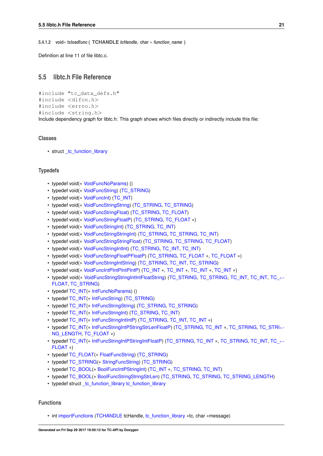<span id="page-32-3"></span><span id="page-32-0"></span>**5.4.1.2 void**∗ **tcloadfunc ( TCHANDLE** *tcHandle,* **char** ∗ *function\_name* **)**

<span id="page-32-2"></span>Definition at line 11 of file libtc.c.

# <span id="page-32-1"></span>**5.5 libtc.h File Reference**

```
#include "tc_data_defs.h"
#include <dlfcn.h>
#include <errno.h>
#include <string.h>
Include dependency graph for libtc.h: This graph shows which files directly or indirectly include this file:
```
#### **Classes**

• struct tc function library

#### **Typedefs**

- typedef void(∗ [VoidFuncNoParams\)](#page-34-14) ()
- typedef void(∗ [VoidFuncString\)](#page-34-13) [\(TC\\_STRING\)](#page-40-15)
- typedef void(∗ [VoidFuncInt\)](#page-34-1) [\(TC\\_INT\)](#page-40-13)
- typedef void(∗ [VoidFuncStringString\)](#page-34-16) [\(TC\\_STRING,](#page-40-15) [TC\\_STRING\)](#page-40-15)
- typedef void(∗ [VoidFuncStringFloat\)](#page-34-22) [\(TC\\_STRING,](#page-40-15) [TC\\_FLOAT\)](#page-40-14)
- typedef void(∗ [VoidFuncStringFloatP\)](#page-34-20) [\(TC\\_STRING,](#page-40-15) [TC\\_FLOAT](#page-40-14) ∗)
- typedef void(∗ [VoidFuncStringInt\)](#page-34-19) [\(TC\\_STRING,](#page-40-15) [TC\\_INT\)](#page-40-13)
- typedef void(∗ [VoidFuncStringStringInt\)](#page-34-18) [\(TC\\_STRING,](#page-40-15) [TC\\_STRING,](#page-40-15) [TC\\_INT\)](#page-40-13)
- typedef void(∗ [VoidFuncStringStringFloat\)](#page-34-24) [\(TC\\_STRING,](#page-40-15) [TC\\_STRING,](#page-40-15) [TC\\_FLOAT\)](#page-40-14)
- typedef void(∗ [VoidFuncStringIntInt\)](#page-34-15) [\(TC\\_STRING,](#page-40-15) [TC\\_INT,](#page-40-13) [TC\\_INT\)](#page-40-13)
- typedef void(∗ [VoidFuncStringFloatPFloatP\)](#page-34-17) [\(TC\\_STRING,](#page-40-15) [TC\\_FLOAT](#page-40-14) ∗, [TC\\_FLOAT](#page-40-14) ∗)
- typedef void(∗ [VoidFuncStringIntString\)](#page-34-21) [\(TC\\_STRING,](#page-40-15) [TC\\_INT,](#page-40-13) [TC\\_STRING\)](#page-40-15)
- typedef void(∗ [VoidFuncIntPIntPIntPIntP\)](#page-34-23) [\(TC\\_INT](#page-40-13) ∗, [TC\\_INT](#page-40-13) ∗, [TC\\_INT](#page-40-13) ∗, [TC\\_INT](#page-40-13) ∗)
- typedef void(\* [VoidFuncStringStringIntIntFloatString\)](#page-35-7) [\(TC\\_STRING,](#page-40-15) [TC\\_STRING,](#page-40-15) [TC\\_INT,](#page-40-13) [TC\\_](#page-40-14)INT, TC\_← [FLOAT,](#page-40-14) [TC\\_STRING\)](#page-40-15)
- typedef [TC\\_INT\(](#page-40-13)\* [IntFuncNoParams\)](#page-33-15) ()
- typedef [TC\\_INT\(](#page-40-13)∗ [IntFuncString\)](#page-33-19) [\(TC\\_STRING\)](#page-40-15)
- typedef [TC\\_INT\(](#page-40-13)∗ [IntFuncStringString\)](#page-33-17) [\(TC\\_STRING,](#page-40-15) [TC\\_STRING\)](#page-40-15)
- typedef [TC\\_INT\(](#page-40-13)∗ [IntFuncStringInt\)](#page-33-14) [\(TC\\_STRING,](#page-40-15) [TC\\_INT\)](#page-40-13)
- typedef [TC\\_INT\(](#page-40-13)∗ [IntFuncStringIntIntP\)](#page-33-18) [\(TC\\_STRING,](#page-40-15) [TC\\_INT,](#page-40-13) [TC\\_INT](#page-40-13) ∗)
- typedef [TC\\_INT\(](#page-40-13)∗ [IntFuncStringIntPStringStrLenFloatP\)](#page-33-21) [\(TC\\_STRING,](#page-40-15) [TC\\_INT](#page-40-13) ∗, [TC\\_STRING,](#page-40-15) [TC\\_STRI](#page-40-16)←- [NG\\_LENGTH,](#page-40-16) [TC\\_FLOAT](#page-40-14) ∗)
- typedef [TC\\_INT\(](#page-40-13)∗ [IntFuncStringIntPStringIntFloatP\)](#page-33-20) [\(TC\\_STRING,](#page-40-15) [TC\\_INT](#page-40-13) ∗, [TC\\_STRING,](#page-40-15) [TC\\_INT,](#page-40-13) [TC\\_](#page-40-14)←- [FLOAT](#page-40-14) ∗)
- typedef [TC\\_FLOAT\(](#page-40-14)∗ [FloatFuncString\)](#page-33-16) [\(TC\\_STRING\)](#page-40-15)
- typedef [TC\\_STRING\(](#page-40-15)∗ [StringFuncString\)](#page-33-13) [\(TC\\_STRING\)](#page-40-15)
- typedef [TC\\_BOOL\(](#page-39-14)∗ [BoolFuncIntPStringInt\)](#page-33-1) [\(TC\\_INT](#page-40-13) ∗, [TC\\_STRING,](#page-40-15) [TC\\_INT\)](#page-40-13)
- typedef [TC\\_BOOL\(](#page-39-14)∗ [BoolFuncStringStringStrLen\)](#page-33-12) [\(TC\\_STRING,](#page-40-15) [TC\\_STRING,](#page-40-15) [TC\\_STRING\\_LENGTH\)](#page-40-16)
- typedef struct tc function\_library [tc\\_function\\_library](#page-33-22)

#### **Functions**

• int [importFunctions](#page-35-3) [\(TCHANDLE](#page-39-13) tcHandle, [tc\\_function\\_library](#page-33-22) ∗tc, char ∗message)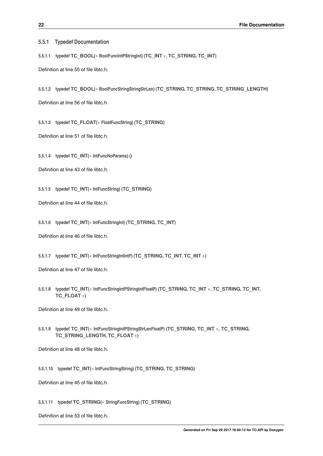<span id="page-33-23"></span><span id="page-33-0"></span>**5.5.1 Typedef Documentation**

<span id="page-33-1"></span>**5.5.1.1 typedef TC\_BOOL(**∗ **BoolFuncIntPStringInt) (TC\_INT** ∗**, TC\_STRING, TC\_INT)**

<span id="page-33-12"></span>Definition at line 55 of file libtc.h.

<span id="page-33-2"></span>**5.5.1.2 typedef TC\_BOOL(**∗ **BoolFuncStringStringStrLen) (TC\_STRING, TC\_STRING, TC\_STRING\_LENGTH)**

<span id="page-33-16"></span>Definition at line 56 of file libtc.h.

<span id="page-33-3"></span>**5.5.1.3 typedef TC\_FLOAT(**∗ **FloatFuncString) (TC\_STRING)**

<span id="page-33-15"></span>Definition at line 51 of file libtc.h.

<span id="page-33-4"></span>**5.5.1.4 typedef TC\_INT(**∗ **IntFuncNoParams) ()**

<span id="page-33-19"></span>Definition at line 43 of file libtc.h.

<span id="page-33-5"></span>**5.5.1.5 typedef TC\_INT(**∗ **IntFuncString) (TC\_STRING)**

<span id="page-33-14"></span>Definition at line 44 of file libtc.h.

<span id="page-33-6"></span>**5.5.1.6 typedef TC\_INT(**∗ **IntFuncStringInt) (TC\_STRING, TC\_INT)**

<span id="page-33-18"></span>Definition at line 46 of file libtc.h.

<span id="page-33-7"></span>**5.5.1.7 typedef TC\_INT(**∗ **IntFuncStringIntIntP) (TC\_STRING, TC\_INT, TC\_INT** ∗**)**

<span id="page-33-20"></span>Definition at line 47 of file libtc.h.

<span id="page-33-8"></span>**5.5.1.8 typedef TC\_INT(**∗ **IntFuncStringIntPStringIntFloatP) (TC\_STRING, TC\_INT** ∗**, TC\_STRING, TC\_INT, TC\_FLOAT** ∗**)**

<span id="page-33-21"></span>Definition at line 49 of file libtc.h.

<span id="page-33-9"></span>**5.5.1.9 typedef TC\_INT(**∗ **IntFuncStringIntPStringStrLenFloatP) (TC\_STRING, TC\_INT** ∗**, TC\_STRING, TC\_STRING\_LENGTH, TC\_FLOAT** ∗**)**

<span id="page-33-17"></span>Definition at line 48 of file libtc.h.

<span id="page-33-10"></span>**5.5.1.10 typedef TC\_INT(**∗ **IntFuncStringString) (TC\_STRING, TC\_STRING)**

<span id="page-33-13"></span>Definition at line 45 of file libtc.h.

<span id="page-33-11"></span>**5.5.1.11 typedef TC\_STRING(**∗ **StringFuncString) (TC\_STRING)**

<span id="page-33-22"></span>Definition at line 53 of file libtc.h.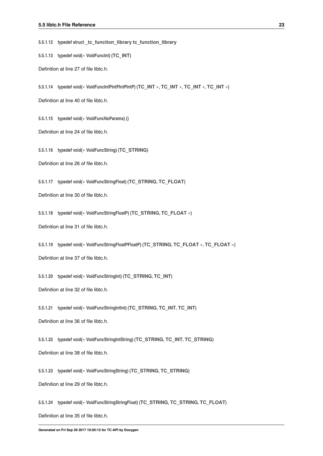<span id="page-34-25"></span><span id="page-34-0"></span>**5.5.1.12 typedef struct \_tc\_function\_library tc\_function\_library**

<span id="page-34-1"></span>**5.5.1.13 typedef void(**∗ **VoidFuncInt) (TC\_INT)**

<span id="page-34-23"></span>Definition at line 27 of file libtc.h.

<span id="page-34-2"></span>**5.5.1.14 typedef void(**∗ **VoidFuncIntPIntPIntPIntP) (TC\_INT** ∗**, TC\_INT** ∗**, TC\_INT** ∗**, TC\_INT** ∗**)**

<span id="page-34-14"></span>Definition at line 40 of file libtc.h.

<span id="page-34-3"></span>**5.5.1.15 typedef void(**∗ **VoidFuncNoParams) ()**

<span id="page-34-13"></span>Definition at line 24 of file libtc.h.

<span id="page-34-4"></span>**5.5.1.16 typedef void(**∗ **VoidFuncString) (TC\_STRING)**

<span id="page-34-22"></span>Definition at line 26 of file libtc.h.

<span id="page-34-5"></span>**5.5.1.17 typedef void(**∗ **VoidFuncStringFloat) (TC\_STRING, TC\_FLOAT)**

<span id="page-34-20"></span>Definition at line 30 of file libtc.h.

<span id="page-34-6"></span>**5.5.1.18 typedef void(**∗ **VoidFuncStringFloatP) (TC\_STRING, TC\_FLOAT** ∗**)**

<span id="page-34-17"></span>Definition at line 31 of file libtc.h.

<span id="page-34-7"></span>**5.5.1.19 typedef void(**∗ **VoidFuncStringFloatPFloatP) (TC\_STRING, TC\_FLOAT** ∗**, TC\_FLOAT** ∗**)**

<span id="page-34-19"></span>Definition at line 37 of file libtc.h.

<span id="page-34-8"></span>**5.5.1.20 typedef void(**∗ **VoidFuncStringInt) (TC\_STRING, TC\_INT)**

<span id="page-34-15"></span>Definition at line 32 of file libtc.h.

<span id="page-34-9"></span>**5.5.1.21 typedef void(**∗ **VoidFuncStringIntInt) (TC\_STRING, TC\_INT, TC\_INT)**

<span id="page-34-21"></span>Definition at line 36 of file libtc.h.

<span id="page-34-10"></span>**5.5.1.22 typedef void(**∗ **VoidFuncStringIntString) (TC\_STRING, TC\_INT, TC\_STRING)**

<span id="page-34-16"></span>Definition at line 38 of file libtc.h.

<span id="page-34-11"></span>**5.5.1.23 typedef void(**∗ **VoidFuncStringString) (TC\_STRING, TC\_STRING)**

<span id="page-34-24"></span>Definition at line 29 of file libtc.h.

<span id="page-34-18"></span><span id="page-34-12"></span>**5.5.1.24 typedef void(**∗ **VoidFuncStringStringFloat) (TC\_STRING, TC\_STRING, TC\_FLOAT)** Definition at line 35 of file libtc.h.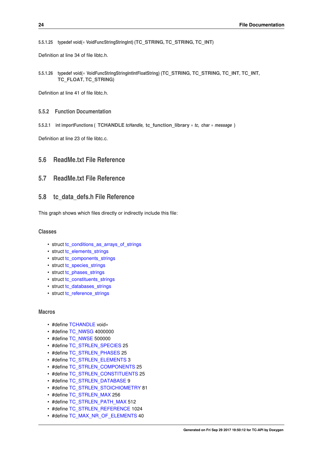<span id="page-35-8"></span><span id="page-35-0"></span>**5.5.1.25 typedef void(**∗ **VoidFuncStringStringInt) (TC\_STRING, TC\_STRING, TC\_INT)**

<span id="page-35-7"></span>Definition at line 34 of file libtc.h.

<span id="page-35-1"></span>**5.5.1.26 typedef void(**∗ **VoidFuncStringStringIntIntFloatString) (TC\_STRING, TC\_STRING, TC\_INT, TC\_INT, TC\_FLOAT, TC\_STRING)**

Definition at line 41 of file libtc.h.

- <span id="page-35-2"></span>**5.5.2 Function Documentation**
- <span id="page-35-3"></span>**5.5.2.1 int importFunctions ( TCHANDLE** *tcHandle,* **tc\_function\_library** ∗ *tc,* **char** ∗ *message* **)**

Definition at line 23 of file libtc.c.

# <span id="page-35-4"></span>**5.6 ReadMe.txt File Reference**

## <span id="page-35-5"></span>**5.7 ReadMe.txt File Reference**

# <span id="page-35-6"></span>**5.8 tc\_data\_defs.h File Reference**

This graph shows which files directly or indirectly include this file:

#### **Classes**

- struct [tc\\_conditions\\_as\\_arrays\\_of\\_strings](#page-26-9)
- struct [tc\\_elements\\_strings](#page-28-9)
- struct [tc\\_components\\_strings](#page-26-8)
- struct [tc\\_species\\_strings](#page-29-7)
- struct [tc\\_phases\\_strings](#page-28-10)
- struct [tc\\_constituents\\_strings](#page-27-10)
- struct [tc\\_databases\\_strings](#page-27-11)
- struct [tc\\_reference\\_strings](#page-28-11)

#### **Macros**

- #define [TCHANDLE](#page-39-13) void∗
- #define [TC\\_NWSG](#page-38-20) 4000000
- #define [TC\\_NWSE](#page-38-21) 500000
- #define [TC\\_STRLEN\\_SPECIES](#page-38-19) 25
- #define [TC\\_STRLEN\\_PHASES](#page-38-17) 25
- #define [TC\\_STRLEN\\_ELEMENTS](#page-38-16) 3
- #define [TC\\_STRLEN\\_COMPONENTS](#page-38-12) 25
- #define [TC\\_STRLEN\\_CONSTITUENTS](#page-38-14) 25
- #define [TC\\_STRLEN\\_DATABASE](#page-38-15) 9
- #define [TC\\_STRLEN\\_STOICHIOMETRY](#page-39-15) 81
- #define [TC\\_STRLEN\\_MAX](#page-38-13) 256
- #define [TC\\_STRLEN\\_PATH\\_MAX](#page-38-22) 512
- #define [TC\\_STRLEN\\_REFERENCE](#page-38-18) 1024
- #define [TC\\_MAX\\_NR\\_OF\\_ELEMENTS](#page-37-12) 40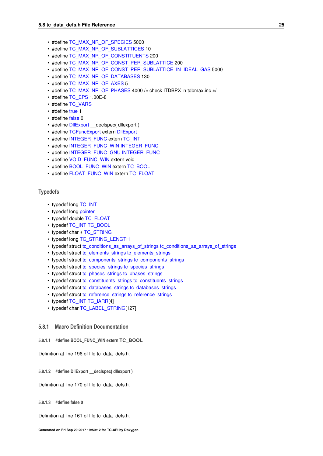- <span id="page-36-7"></span>• #define [TC\\_MAX\\_NR\\_OF\\_SPECIES](#page-37-13) 5000
- #define [TC\\_MAX\\_NR\\_OF\\_SUBLATTICES](#page-38-23) 10
- #define [TC\\_MAX\\_NR\\_OF\\_CONSTITUENTS](#page-37-14) 200
- #define [TC\\_MAX\\_NR\\_OF\\_CONST\\_PER\\_SUBLATTICE](#page-37-15) 200
- #define [TC\\_MAX\\_NR\\_OF\\_CONST\\_PER\\_SUBLATTICE\\_IN\\_IDEAL\\_GAS](#page-37-16) 5000
- #define [TC\\_MAX\\_NR\\_OF\\_DATABASES](#page-37-17) 130
- #define [TC\\_MAX\\_NR\\_OF\\_AXES](#page-37-18) 5
- #define [TC\\_MAX\\_NR\\_OF\\_PHASES](#page-37-19) 4000 / $*$  check ITDBPX in tdbmax.inc  $*$ /
- #define [TC\\_EPS](#page-37-20) 1.00E-8
- #define [TC\\_VARS](#page-39-16)
- #define [true](#page-39-17) 1
- #define [false](#page-36-4) 0
- #define DIIExport \_declspec( dllexport )
- #define [TCFuncExport](#page-39-18) extern [DllExport](#page-36-5)
- #define [INTEGER\\_FUNC](#page-37-21) extern [TC\\_INT](#page-40-13)
- #define [INTEGER\\_FUNC\\_WIN](#page-37-22) [INTEGER\\_FUNC](#page-37-21)
- #define [INTEGER\\_FUNC\\_GNU](#page-37-23) [INTEGER\\_FUNC](#page-37-21)
- #define [VOID\\_FUNC\\_WIN](#page-39-19) extern void
- #define [BOOL\\_FUNC\\_WIN](#page-36-1) extern [TC\\_BOOL](#page-39-14)
- #define [FLOAT\\_FUNC\\_WIN](#page-36-6) extern [TC\\_FLOAT](#page-40-14)

#### **Typedefs**

- typedef long [TC\\_INT](#page-40-13)
- typedef long [pointer](#page-39-8)
- typedef double [TC\\_FLOAT](#page-40-14)
- typedef [TC\\_INT](#page-40-13) [TC\\_BOOL](#page-39-14)
- typedef char ∗ [TC\\_STRING](#page-40-15)
- typedef long [TC\\_STRING\\_LENGTH](#page-40-16)
- typedef struct [tc\\_conditions\\_as\\_arrays\\_of\\_strings](#page-39-20) tc\_conditions\_as\_arrays\_of\_strings
- typedef struct [tc\\_elements\\_strings](#page-28-9) [tc\\_elements\\_strings](#page-40-17)
- typedef struct [tc\\_components\\_strings](#page-39-21) tc\_components\_strings
- typedef struct [tc\\_species\\_strings](#page-40-18) tc\_species\_strings
- typedef struct [tc\\_phases\\_strings](#page-40-19) tc\_phases\_strings
- typedef struct [tc\\_constituents\\_strings](#page-39-22) tc\_constituents\_strings
- typedef struct [tc\\_databases\\_strings](#page-39-23) tc\_databases\_strings
- typedef struct [tc\\_reference\\_strings](#page-40-20) tc\_reference\_strings
- typedef [TC\\_INT](#page-40-13) [TC\\_IARR\[](#page-40-21)4]
- typedef char [TC\\_LABEL\\_STRING\[](#page-40-22)127]

#### <span id="page-36-0"></span>**5.8.1 Macro Definition Documentation**

<span id="page-36-1"></span>**5.8.1.1 #define BOOL\_FUNC\_WIN extern TC\_BOOL**

<span id="page-36-5"></span>Definition at line 196 of file tc\_data\_defs.h.

<span id="page-36-2"></span>**5.8.1.2 #define DllExport \_\_declspec( dllexport )**

<span id="page-36-4"></span>Definition at line 170 of file tc\_data\_defs.h.

#### <span id="page-36-3"></span>**5.8.1.3 #define false 0**

<span id="page-36-6"></span>Definition at line 161 of file tc\_data\_defs.h.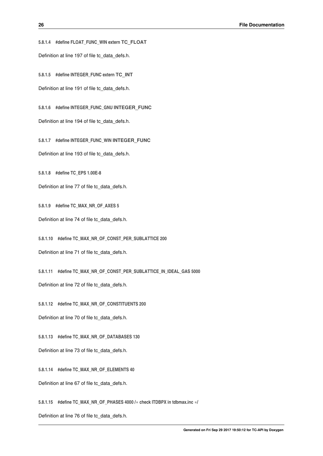<span id="page-37-24"></span><span id="page-37-21"></span><span id="page-37-1"></span><span id="page-37-0"></span>**5.8.1.4 #define FLOAT\_FUNC\_WIN extern TC\_FLOAT** Definition at line 197 of file tc\_data\_defs.h. **5.8.1.5 #define INTEGER\_FUNC extern TC\_INT** Definition at line 191 of file tc\_data\_defs.h.

<span id="page-37-23"></span><span id="page-37-2"></span>**5.8.1.6 #define INTEGER\_FUNC\_GNU INTEGER\_FUNC** Definition at line 194 of file tc\_data\_defs.h.

<span id="page-37-22"></span><span id="page-37-3"></span>**5.8.1.7 #define INTEGER\_FUNC\_WIN INTEGER\_FUNC** Definition at line 193 of file tc\_data\_defs.h.

<span id="page-37-20"></span><span id="page-37-4"></span>**5.8.1.8 #define TC\_EPS 1.00E-8**

<span id="page-37-18"></span>Definition at line 77 of file tc\_data\_defs.h.

<span id="page-37-5"></span>**5.8.1.9 #define TC\_MAX\_NR\_OF\_AXES 5**

<span id="page-37-15"></span>Definition at line 74 of file tc\_data\_defs.h.

<span id="page-37-6"></span>**5.8.1.10 #define TC\_MAX\_NR\_OF\_CONST\_PER\_SUBLATTICE 200**

<span id="page-37-16"></span>Definition at line 71 of file tc\_data\_defs.h.

<span id="page-37-7"></span>**5.8.1.11 #define TC\_MAX\_NR\_OF\_CONST\_PER\_SUBLATTICE\_IN\_IDEAL\_GAS 5000**

<span id="page-37-14"></span>Definition at line 72 of file tc\_data\_defs.h.

<span id="page-37-8"></span>**5.8.1.12 #define TC\_MAX\_NR\_OF\_CONSTITUENTS 200** Definition at line 70 of file tc\_data\_defs.h.

<span id="page-37-17"></span><span id="page-37-9"></span>**5.8.1.13 #define TC\_MAX\_NR\_OF\_DATABASES 130** Definition at line 73 of file tc\_data\_defs.h.

<span id="page-37-12"></span><span id="page-37-10"></span>**5.8.1.14 #define TC\_MAX\_NR\_OF\_ELEMENTS 40**

<span id="page-37-19"></span>Definition at line 67 of file tc\_data\_defs.h.

<span id="page-37-11"></span>**5.8.1.15 #define TC\_MAX\_NR\_OF\_PHASES 4000 /**∗ **check ITDBPX in tdbmax.inc** ∗**/**

<span id="page-37-13"></span>Definition at line 76 of file tc\_data\_defs.h.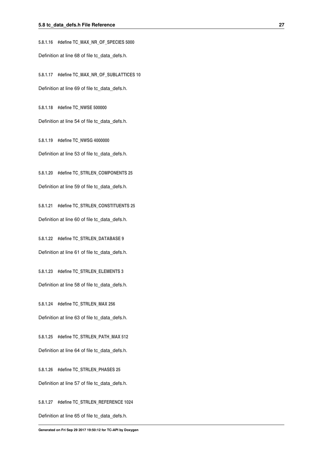<span id="page-38-24"></span><span id="page-38-0"></span>**5.8.1.16 #define TC\_MAX\_NR\_OF\_SPECIES 5000** Definition at line 68 of file tc\_data\_defs.h.

<span id="page-38-23"></span><span id="page-38-1"></span>**5.8.1.17 #define TC\_MAX\_NR\_OF\_SUBLATTICES 10** Definition at line 69 of file tc\_data\_defs.h.

<span id="page-38-21"></span><span id="page-38-2"></span>**5.8.1.18 #define TC\_NWSE 500000**

<span id="page-38-20"></span>Definition at line 54 of file tc\_data\_defs.h.

<span id="page-38-3"></span>**5.8.1.19 #define TC\_NWSG 4000000** Definition at line 53 of file tc\_data\_defs.h.

<span id="page-38-12"></span><span id="page-38-4"></span>**5.8.1.20 #define TC\_STRLEN\_COMPONENTS 25** Definition at line 59 of file tc\_data\_defs.h.

<span id="page-38-14"></span><span id="page-38-5"></span>**5.8.1.21 #define TC\_STRLEN\_CONSTITUENTS 25** Definition at line 60 of file tc\_data\_defs.h.

<span id="page-38-15"></span><span id="page-38-6"></span>**5.8.1.22 #define TC\_STRLEN\_DATABASE 9** Definition at line 61 of file tc\_data\_defs.h.

<span id="page-38-16"></span><span id="page-38-7"></span>**5.8.1.23 #define TC\_STRLEN\_ELEMENTS 3** Definition at line 58 of file tc\_data\_defs.h.

<span id="page-38-13"></span><span id="page-38-8"></span>**5.8.1.24 #define TC\_STRLEN\_MAX 256** Definition at line 63 of file tc\_data\_defs.h.

<span id="page-38-22"></span><span id="page-38-9"></span>**5.8.1.25 #define TC\_STRLEN\_PATH\_MAX 512** Definition at line 64 of file tc\_data\_defs.h.

<span id="page-38-17"></span><span id="page-38-10"></span>**5.8.1.26 #define TC\_STRLEN\_PHASES 25** Definition at line 57 of file tc\_data\_defs.h.

<span id="page-38-19"></span><span id="page-38-18"></span><span id="page-38-11"></span>**5.8.1.27 #define TC\_STRLEN\_REFERENCE 1024** Definition at line 65 of file tc\_data\_defs.h.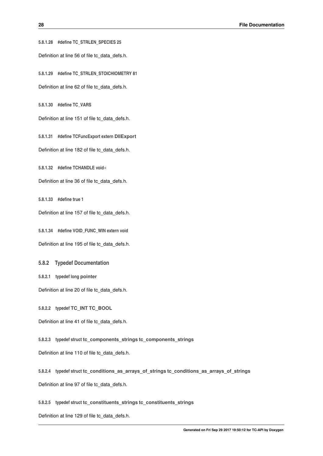<span id="page-39-24"></span><span id="page-39-0"></span>**5.8.1.28 #define TC\_STRLEN\_SPECIES 25**

<span id="page-39-15"></span>Definition at line 56 of file tc\_data\_defs.h.

<span id="page-39-1"></span>**5.8.1.29 #define TC\_STRLEN\_STOICHIOMETRY 81**

<span id="page-39-16"></span>Definition at line 62 of file tc\_data\_defs.h.

<span id="page-39-2"></span>**5.8.1.30 #define TC\_VARS**

<span id="page-39-18"></span>Definition at line 151 of file tc\_data\_defs.h.

<span id="page-39-3"></span>**5.8.1.31 #define TCFuncExport extern DllExport** Definition at line 182 of file tc\_data\_defs.h.

<span id="page-39-13"></span><span id="page-39-4"></span>**5.8.1.32 #define TCHANDLE void**∗

<span id="page-39-17"></span>Definition at line 36 of file tc\_data\_defs.h.

<span id="page-39-5"></span>**5.8.1.33 #define true 1**

<span id="page-39-19"></span>Definition at line 157 of file tc\_data\_defs.h.

<span id="page-39-6"></span>**5.8.1.34 #define VOID\_FUNC\_WIN extern void** Definition at line 195 of file tc\_data\_defs.h.

<span id="page-39-7"></span>**5.8.2 Typedef Documentation**

<span id="page-39-8"></span>**5.8.2.1 typedef long pointer**

<span id="page-39-14"></span>Definition at line 20 of file tc\_data\_defs.h.

<span id="page-39-9"></span>**5.8.2.2 typedef TC\_INT TC\_BOOL**

<span id="page-39-21"></span>Definition at line 41 of file tc\_data\_defs.h.

<span id="page-39-10"></span>**5.8.2.3 typedef struct tc\_components\_strings tc\_components\_strings**

<span id="page-39-20"></span>Definition at line 110 of file tc\_data\_defs.h.

<span id="page-39-11"></span>**5.8.2.4 typedef struct tc\_conditions\_as\_arrays\_of\_strings tc\_conditions\_as\_arrays\_of\_strings**

<span id="page-39-22"></span>Definition at line 97 of file tc\_data\_defs.h.

<span id="page-39-12"></span>**5.8.2.5 typedef struct tc\_constituents\_strings tc\_constituents\_strings**

<span id="page-39-23"></span>Definition at line 129 of file tc\_data\_defs.h.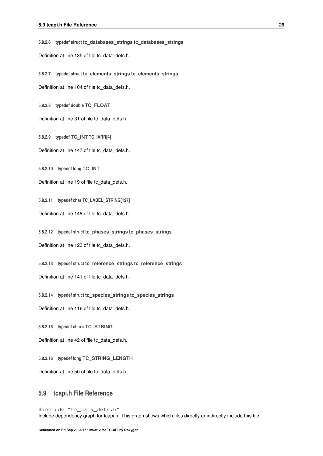<span id="page-40-23"></span><span id="page-40-0"></span>**5.8.2.6 typedef struct tc\_databases\_strings tc\_databases\_strings**

<span id="page-40-17"></span>Definition at line 135 of file tc\_data\_defs.h.

<span id="page-40-1"></span>**5.8.2.7 typedef struct tc\_elements\_strings tc\_elements\_strings**

<span id="page-40-14"></span>Definition at line 104 of file tc\_data\_defs.h.

<span id="page-40-2"></span>**5.8.2.8 typedef double TC\_FLOAT**

<span id="page-40-21"></span>Definition at line 31 of file tc\_data\_defs.h.

<span id="page-40-3"></span>**5.8.2.9 typedef TC\_INT TC\_IARR[4]**

<span id="page-40-13"></span>Definition at line 147 of file tc\_data\_defs.h.

<span id="page-40-4"></span>**5.8.2.10 typedef long TC\_INT**

<span id="page-40-22"></span>Definition at line 19 of file tc\_data\_defs.h.

<span id="page-40-5"></span>**5.8.2.11 typedef char TC\_LABEL\_STRING[127]**

<span id="page-40-19"></span>Definition at line 148 of file tc\_data\_defs.h.

<span id="page-40-6"></span>**5.8.2.12 typedef struct tc\_phases\_strings tc\_phases\_strings**

<span id="page-40-20"></span>Definition at line 123 of file tc\_data\_defs.h.

<span id="page-40-7"></span>**5.8.2.13 typedef struct tc\_reference\_strings tc\_reference\_strings**

<span id="page-40-18"></span>Definition at line 141 of file tc\_data\_defs.h.

<span id="page-40-8"></span>**5.8.2.14 typedef struct tc\_species\_strings tc\_species\_strings**

<span id="page-40-15"></span>Definition at line 116 of file tc\_data\_defs.h.

<span id="page-40-9"></span>**5.8.2.15 typedef char**∗ **TC\_STRING**

<span id="page-40-16"></span>Definition at line 42 of file tc\_data\_defs.h.

<span id="page-40-10"></span>**5.8.2.16 typedef long TC\_STRING\_LENGTH**

<span id="page-40-12"></span>Definition at line 50 of file tc\_data\_defs.h.

# <span id="page-40-11"></span>**5.9 tcapi.h File Reference**

#include "tc\_data\_defs.h" Include dependency graph for tcapi.h: This graph shows which files directly or indirectly include this file: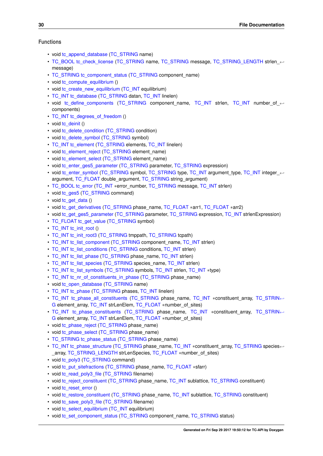#### **Functions**

- void [tc\\_append\\_database](#page-42-1) [\(TC\\_STRING](#page-40-15) name)
- [TC\\_BOOL](#page-39-14) [tc\\_check\\_license](#page-42-11) [\(TC\\_STRING](#page-40-15) name, [TC\\_STRING](#page-40-15) message, [TC\\_STRING\\_LENGTH](#page-40-16) strlen\_← message)
- [TC\\_STRING](#page-40-15) [tc\\_component\\_status](#page-42-12) [\(TC\\_STRING](#page-40-15) component\_name)
- void [tc\\_compute\\_equilibrium](#page-42-13) ()
- void [tc\\_create\\_new\\_equilibrium](#page-42-14) [\(TC\\_INT](#page-40-13) equilibrium)
- [TC\\_INT](#page-40-13) [tc\\_database](#page-42-15) [\(TC\\_STRING](#page-40-15) datan, [TC\\_INT](#page-40-13) linelen)
- void [tc\\_define\\_components](#page-42-16) [\(TC\\_STRING](#page-40-15) component\_name, [TC\\_INT](#page-40-13) strlen, TC\_INT number\_of\_←components)
- [TC\\_INT](#page-40-13) [tc\\_degrees\\_of\\_freedom](#page-42-17) ()
- void [tc\\_deinit](#page-42-18) ()
- void [tc\\_delete\\_condition](#page-42-10) [\(TC\\_STRING](#page-40-15) condition)
- void [tc\\_delete\\_symbol](#page-42-19) [\(TC\\_STRING](#page-40-15) symbol)
- [TC\\_INT](#page-40-13) [tc\\_element](#page-43-11) [\(TC\\_STRING](#page-40-15) elements, TC\_INT linelen)
- void [tc\\_element\\_reject](#page-43-12) [\(TC\\_STRING](#page-40-15) element\_name)
- void [tc\\_element\\_select](#page-43-13) [\(TC\\_STRING](#page-40-15) element\_name)
- void [tc\\_enter\\_ges5\\_parameter](#page-43-14) [\(TC\\_STRING](#page-40-15) parameter, [TC\\_STRING](#page-40-15) expression)
- void [tc\\_enter\\_symbol](#page-43-15) [\(TC\\_STRING](#page-40-15) symbol, [TC\\_STRING](#page-40-15) type, [TC\\_INT](#page-40-13) argument\_type, TC\_INT integer ← argument, [TC\\_FLOAT](#page-40-14) double\_argument, [TC\\_STRING](#page-40-15) string\_argument)
- [TC\\_BOOL](#page-39-14) [tc\\_error](#page-43-16) [\(TC\\_INT](#page-40-13) ∗error\_number, [TC\\_STRING](#page-40-15) message, [TC\\_INT](#page-40-13) strlen)
- void [tc\\_ges5](#page-43-17) [\(TC\\_STRING](#page-40-15) command)
- void [tc\\_get\\_data](#page-43-18) ()
- void [tc\\_get\\_derivatives](#page-43-19) [\(TC\\_STRING](#page-40-15) phase\_name, [TC\\_FLOAT](#page-40-14) \*arr1, TC\_FLOAT \*arr2)
- void [tc\\_get\\_ges5\\_parameter](#page-43-20) [\(TC\\_STRING](#page-40-15) parameter, [TC\\_STRING](#page-40-15) expression, [TC\\_INT](#page-40-13) strlenExpression)
- [TC\\_FLOAT](#page-40-14) [tc\\_get\\_value](#page-43-21) [\(TC\\_STRING](#page-40-15) symbol)
- [TC\\_INT](#page-40-13) [tc\\_init\\_root](#page-44-11) ()
- [TC\\_INT](#page-40-13) [tc\\_init\\_root3](#page-44-12) [\(TC\\_STRING](#page-40-15) tmppath, [TC\\_STRING](#page-40-15) tcpath)
- [TC\\_INT](#page-40-13) [tc\\_list\\_component](#page-44-13) [\(TC\\_STRING](#page-40-15) component\_name, [TC\\_INT](#page-40-13) strlen)
- [TC\\_INT](#page-40-13) [tc\\_list\\_conditions](#page-44-14) [\(TC\\_STRING](#page-40-15) conditions, TC\_INT strlen)
- [TC\\_INT](#page-40-13) [tc\\_list\\_phase](#page-44-15) [\(TC\\_STRING](#page-40-15) phase\_name, TC\_INT strlen)
- [TC\\_INT](#page-40-13) [tc\\_list\\_species](#page-44-16) [\(TC\\_STRING](#page-40-15) species\_name, [TC\\_INT](#page-40-13) strlen)
- [TC\\_INT](#page-40-13) [tc\\_list\\_symbols](#page-44-17) [\(TC\\_STRING](#page-40-15) symbols, TC\_INT strlen, TC\_INT ∗type)
- [TC\\_INT](#page-40-13) [tc\\_nr\\_of\\_constituents\\_in\\_phase](#page-44-18) [\(TC\\_STRING](#page-40-15) phase\_name)
- void [tc\\_open\\_database](#page-44-9) [\(TC\\_STRING](#page-40-15) name)
- [TC\\_INT](#page-40-13) [tc\\_phase](#page-44-19) [\(TC\\_STRING](#page-40-15) phases, [TC\\_INT](#page-40-13) linelen)
- [TC\\_INT](#page-40-13) [tc\\_phase\\_all\\_constituents](#page-44-20) [\(TC\\_STRING](#page-40-15) phase\_name, TC\_INT ∗constituent\_array, [TC\\_STRIN](#page-40-15)←-[G](#page-40-15) element array, [TC\\_INT](#page-40-13) strLenElem, [TC\\_FLOAT](#page-40-14) ∗number\_of\_sites)
- [TC\\_INT](#page-40-13) [tc\\_phase\\_constituents](#page-45-11) [\(TC\\_STRING](#page-40-15) phase\_name, TC\_INT \*constituent\_array, [TC\\_STRIN](#page-40-15)←-[G](#page-40-15) element array, [TC\\_INT](#page-40-13) strLenElem, [TC\\_FLOAT](#page-40-14) ∗number\_of\_sites)
- void [tc\\_phase\\_reject](#page-45-12) [\(TC\\_STRING](#page-40-15) phase\_name)
- void [tc\\_phase\\_select](#page-45-13) [\(TC\\_STRING](#page-40-15) phase\_name)
- [TC\\_STRING](#page-40-15) [tc\\_phase\\_status](#page-45-14) [\(TC\\_STRING](#page-40-15) phase\_name)
- [TC\\_INT](#page-40-13) [tc\\_phase\\_structure](#page-45-15) [\(TC\\_STRING](#page-40-15) phase\_name, TC\_INT \*constituent\_array, [TC\\_STRING](#page-40-15) species← \_array, [TC\\_STRING\\_LENGTH](#page-40-16) strLenSpecies, [TC\\_FLOAT](#page-40-14) ∗number\_of\_sites)
- void [tc\\_poly3](#page-45-16) [\(TC\\_STRING](#page-40-15) command)
- void [tc\\_put\\_sitefractions](#page-45-17) [\(TC\\_STRING](#page-40-15) phase\_name, [TC\\_FLOAT](#page-40-14) ∗sfarr)
- void [tc\\_read\\_poly3\\_file](#page-45-8) [\(TC\\_STRING](#page-40-15) filename)
- void [tc\\_reject\\_constituent](#page-45-18) [\(TC\\_STRING](#page-40-15) phase\_name, [TC\\_INT](#page-40-13) sublattice, [TC\\_STRING](#page-40-15) constituent)
- void [tc\\_reset\\_error](#page-45-19) ()
- void [tc\\_restore\\_constituent](#page-45-20) [\(TC\\_STRING](#page-40-15) phase\_name, [TC\\_INT](#page-40-13) sublattice, [TC\\_STRING](#page-40-15) constituent)
- void [tc\\_save\\_poly3\\_file](#page-46-13) [\(TC\\_STRING](#page-40-15) filename)
- void [tc\\_select\\_equilibrium](#page-46-14) [\(TC\\_INT](#page-40-13) equilibrium)
- void [tc\\_set\\_component\\_status](#page-46-15) [\(TC\\_STRING](#page-40-15) component\_name, [TC\\_STRING](#page-40-15) status)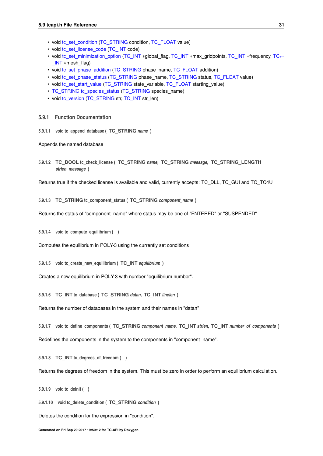- <span id="page-42-20"></span>• void [tc\\_set\\_condition](#page-46-16) [\(TC\\_STRING](#page-40-15) condition, [TC\\_FLOAT](#page-40-14) value)
- void [tc\\_set\\_license\\_code](#page-46-17) [\(TC\\_INT](#page-40-13) code)
- void [tc\\_set\\_minimization\\_option](#page-46-6) [\(TC\\_INT](#page-40-13) ∗global\_flag, [TC\\_INT](#page-40-13) ∗max\_gridpoints, [TC\\_INT](#page-40-13) ∗frequency, [TC](#page-40-13)←-  $INT$  ∗mesh flag)
- void [tc\\_set\\_phase\\_addition](#page-46-18) [\(TC\\_STRING](#page-40-15) phase\_name, [TC\\_FLOAT](#page-40-14) addition)
- void [tc\\_set\\_phase\\_status](#page-46-19) [\(TC\\_STRING](#page-40-15) phase\_name, [TC\\_STRING](#page-40-15) status, [TC\\_FLOAT](#page-40-14) value)
- void [tc\\_set\\_start\\_value](#page-46-20) [\(TC\\_STRING](#page-40-15) state\_variable, [TC\\_FLOAT](#page-40-14) starting\_value)
- [TC\\_STRING](#page-40-15) [tc\\_species\\_status](#page-46-21) [\(TC\\_STRING](#page-40-15) species\_name)
- void [tc\\_version](#page-46-22) [\(TC\\_STRING](#page-40-15) str, [TC\\_INT](#page-40-13) str\_len)

#### <span id="page-42-0"></span>**5.9.1 Function Documentation**

<span id="page-42-1"></span>**5.9.1.1 void tc\_append\_database ( TC\_STRING** *name* **)**

<span id="page-42-11"></span>Appends the named database

<span id="page-42-2"></span>**5.9.1.2 TC\_BOOL tc\_check\_license ( TC\_STRING** *name,* **TC\_STRING** *message,* **TC\_STRING\_LENGTH** *strlen\_message* **)**

<span id="page-42-12"></span>Returns true if the checked license is available and valid, currently accepts: TC\_DLL, TC\_GUI and TC\_TC4U

<span id="page-42-3"></span>**5.9.1.3 TC\_STRING tc\_component\_status ( TC\_STRING** *component\_name* **)**

<span id="page-42-13"></span>Returns the status of "component\_name" where status may be one of "ENTERED" or "SUSPENDED"

<span id="page-42-4"></span>**5.9.1.4 void tc\_compute\_equilibrium ( )**

<span id="page-42-14"></span>Computes the equilibrium in POLY-3 using the currently set conditions

<span id="page-42-5"></span>**5.9.1.5 void tc\_create\_new\_equilibrium ( TC\_INT** *equilibrium* **)**

<span id="page-42-15"></span>Creates a new equilibrium in POLY-3 with number "equilibrium number".

<span id="page-42-6"></span>**5.9.1.6 TC\_INT tc\_database ( TC\_STRING** *datan,* **TC\_INT** *linelen* **)**

<span id="page-42-16"></span>Returns the number of databases in the system and their names in "datan"

<span id="page-42-7"></span>**5.9.1.7 void tc\_define\_components ( TC\_STRING** *component\_name,* **TC\_INT** *strlen,* **TC\_INT** *number\_of\_components* **)**

<span id="page-42-17"></span>Redefines the components in the system to the components in "component\_name".

<span id="page-42-8"></span>**5.9.1.8 TC\_INT tc\_degrees\_of\_freedom ( )**

<span id="page-42-18"></span>Returns the degrees of freedom in the system. This must be zero in order to perform an equilibrium calculation.

<span id="page-42-9"></span>**5.9.1.9 void tc\_deinit ( )**

<span id="page-42-10"></span>**5.9.1.10 void tc\_delete\_condition ( TC\_STRING** *condition* **)**

<span id="page-42-19"></span>Deletes the condition for the expression in "condition".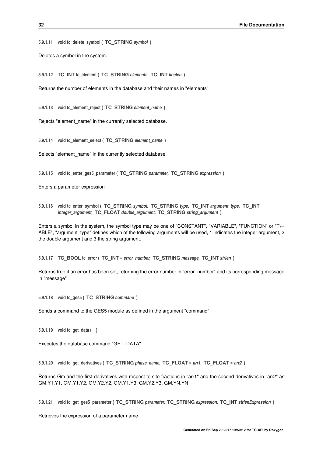<span id="page-43-22"></span><span id="page-43-0"></span>**5.9.1.11 void tc\_delete\_symbol ( TC\_STRING** *symbol* **)**

<span id="page-43-11"></span>Deletes a symbol in the system.

<span id="page-43-1"></span>**5.9.1.12 TC\_INT tc\_element ( TC\_STRING** *elements,* **TC\_INT** *linelen* **)**

<span id="page-43-12"></span>Returns the number of elements in the database and their names in "elements"

<span id="page-43-2"></span>**5.9.1.13 void tc\_element\_reject ( TC\_STRING** *element\_name* **)**

<span id="page-43-13"></span>Rejects "element\_name" in the currently selected database.

<span id="page-43-3"></span>**5.9.1.14 void tc\_element\_select ( TC\_STRING** *element\_name* **)**

<span id="page-43-14"></span>Selects "element\_name" in the currently selected database.

<span id="page-43-4"></span>**5.9.1.15 void tc\_enter\_ges5\_parameter ( TC\_STRING** *parameter,* **TC\_STRING** *expression* **)**

<span id="page-43-15"></span>Enters a parameter expression

<span id="page-43-5"></span>**5.9.1.16 void tc\_enter\_symbol ( TC\_STRING** *symbol,* **TC\_STRING** *type,* **TC\_INT** *argument\_type,* **TC\_INT** *integer\_argument,* **TC\_FLOAT** *double\_argument,* **TC\_STRING** *string\_argument* **)**

Enters a symbol in the system, the symbol type may be one of "CONSTANT", "VARIABLE", "FUNCTION" or "T←- ABLE", "argument type" defines which of the following arguments will be used, 1 indicates the integer argument, 2 the double argument and 3 the string argument.

<span id="page-43-16"></span><span id="page-43-6"></span>**5.9.1.17 TC\_BOOL tc\_error ( TC\_INT** ∗ *error\_number,* **TC\_STRING** *message,* **TC\_INT** *strlen* **)**

<span id="page-43-17"></span>Returns true if an error has been set, returning the error number in "error\_number" and its corresponding message in "message"

<span id="page-43-7"></span>**5.9.1.18 void tc\_ges5 ( TC\_STRING** *command* **)**

<span id="page-43-18"></span>Sends a command to the GES5 module as defined in the argument "command"

<span id="page-43-8"></span>**5.9.1.19 void tc\_get\_data ( )**

<span id="page-43-19"></span>Executes the database command "GET\_DATA"

<span id="page-43-9"></span>**5.9.1.20 void tc\_get\_derivatives ( TC\_STRING** *phase\_name,* **TC\_FLOAT** ∗ *arr1,* **TC\_FLOAT** ∗ *arr2* **)**

<span id="page-43-20"></span>Returns Gm and the first derivatives with respect to site-fractions in "arr1" and the second derivatives in "arr2" as GM.Y1.Y1, GM.Y1.Y2, GM.Y2.Y2, GM.Y1.Y3, GM.Y2.Y3, GM.YN.YN

<span id="page-43-10"></span>**5.9.1.21 void tc\_get\_ges5\_parameter ( TC\_STRING** *parameter,* **TC\_STRING** *expression,* **TC\_INT** *strlenExpression* **)**

<span id="page-43-21"></span>Retrieves the expression of a parameter name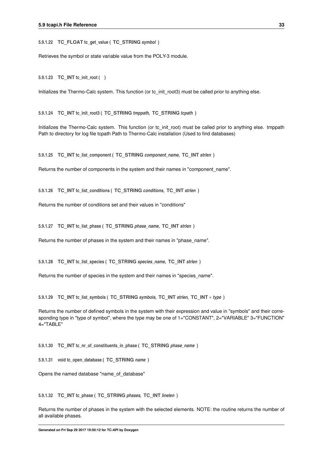<span id="page-44-21"></span><span id="page-44-0"></span>**5.9.1.22 TC\_FLOAT tc\_get\_value ( TC\_STRING** *symbol* **)**

<span id="page-44-11"></span>Retrieves the symbol or state variable value from the POLY-3 module.

<span id="page-44-1"></span>**5.9.1.23 TC\_INT tc\_init\_root ( )**

<span id="page-44-12"></span>Initializes the Thermo-Calc system. This function (or tc\_init\_root3) must be called prior to anything else.

<span id="page-44-2"></span>**5.9.1.24 TC\_INT tc\_init\_root3 ( TC\_STRING** *tmppath,* **TC\_STRING** *tcpath* **)**

<span id="page-44-13"></span>Initializes the Thermo-Calc system. This function (or tc\_init\_root) must be called prior to anything else. tmppath Path to directory for log file tcpath Path to Thermo-Calc installation (Used to find databases)

<span id="page-44-3"></span>**5.9.1.25 TC\_INT tc\_list\_component ( TC\_STRING** *component\_name,* **TC\_INT** *strlen* **)**

<span id="page-44-14"></span>Returns the number of components in the system and their names in "component\_name".

<span id="page-44-4"></span>**5.9.1.26 TC\_INT tc\_list\_conditions ( TC\_STRING** *conditions,* **TC\_INT** *strlen* **)**

<span id="page-44-15"></span>Returns the number of conditions set and their values in "conditions"

<span id="page-44-5"></span>**5.9.1.27 TC\_INT tc\_list\_phase ( TC\_STRING** *phase\_name,* **TC\_INT** *strlen* **)**

<span id="page-44-16"></span>Returns the number of phases in the system and their names in "phase name".

<span id="page-44-6"></span>**5.9.1.28 TC\_INT tc\_list\_species ( TC\_STRING** *species\_name,* **TC\_INT** *strlen* **)**

<span id="page-44-17"></span>Returns the number of species in the system and their names in "species\_name".

<span id="page-44-7"></span>**5.9.1.29 TC\_INT tc\_list\_symbols ( TC\_STRING** *symbols,* **TC\_INT** *strlen,* **TC\_INT** ∗ *type* **)**

<span id="page-44-18"></span>Returns the number of defined symbols in the system with their expression and value in "symbols" and their corresponding type in "type of symbol", where the type may be one of 1="CONSTANT", 2="VARIABLE" 3="FUNCTION"  $4=$ "TABLE"

<span id="page-44-8"></span>**5.9.1.30 TC\_INT tc\_nr\_of\_constituents\_in\_phase ( TC\_STRING** *phase\_name* **)**

<span id="page-44-9"></span>**5.9.1.31 void tc\_open\_database ( TC\_STRING** *name* **)**

<span id="page-44-19"></span>Opens the named database "name\_of\_database"

<span id="page-44-10"></span>**5.9.1.32 TC\_INT tc\_phase ( TC\_STRING** *phases,* **TC\_INT** *linelen* **)**

<span id="page-44-20"></span>Returns the number of phases in the system with the selected elements. NOTE: the routine returns the number of all available phases.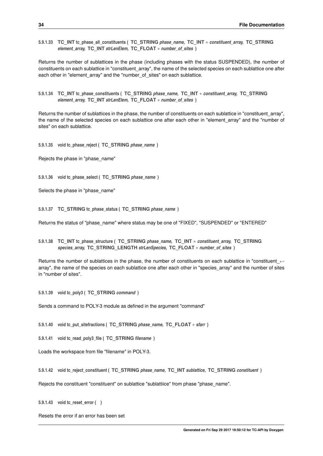<span id="page-45-21"></span><span id="page-45-0"></span>**5.9.1.33 TC\_INT tc\_phase\_all\_constituents ( TC\_STRING** *phase\_name,* **TC\_INT** ∗ *constituent\_array,* **TC\_STRING** *element\_array,* **TC\_INT** *strLenElem,* **TC\_FLOAT** ∗ *number\_of\_sites* **)**

Returns the number of sublattices in the phase (including phases with the status SUSPENDED), the number of constituents on each sublattice in "constituent array", the name of the selected species on each sublattice one after each other in "element array" and the "number of sites" on each sublattice.

<span id="page-45-11"></span><span id="page-45-1"></span>**5.9.1.34 TC\_INT tc\_phase\_constituents ( TC\_STRING** *phase\_name,* **TC\_INT** ∗ *constituent\_array,* **TC\_STRING** *element\_array,* **TC\_INT** *strLenElem,* **TC\_FLOAT** ∗ *number\_of\_sites* **)**

Returns the number of sublattices in the phase, the number of constituents on each sublattice in "constituent\_array", the name of the selected species on each sublattice one after each other in "element\_array" and the "number of sites" on each sublattice.

<span id="page-45-12"></span><span id="page-45-2"></span>**5.9.1.35 void tc\_phase\_reject ( TC\_STRING** *phase\_name* **)**

<span id="page-45-13"></span>Rejects the phase in "phase\_name"

<span id="page-45-3"></span>**5.9.1.36 void tc\_phase\_select ( TC\_STRING** *phase\_name* **)**

<span id="page-45-14"></span>Selects the phase in "phase\_name"

<span id="page-45-4"></span>**5.9.1.37 TC\_STRING tc\_phase\_status ( TC\_STRING** *phase\_name* **)**

<span id="page-45-15"></span>Returns the status of "phase name" where status may be one of "FIXED", "SUSPENDED" or "ENTERED"

<span id="page-45-5"></span>**5.9.1.38 TC\_INT tc\_phase\_structure ( TC\_STRING** *phase\_name,* **TC\_INT** ∗ *constituent\_array,* **TC\_STRING** *species\_array,* **TC\_STRING\_LENGTH** *strLenSpecies,* **TC\_FLOAT** ∗ *number\_of\_sites* **)**

Returns the number of sublattices in the phase, the number of constituents on each sublattice in "constituent ← array", the name of the species on each sublattice one after each other in "species array" and the number of sites in "number of sites".

<span id="page-45-16"></span><span id="page-45-6"></span>**5.9.1.39 void tc\_poly3 ( TC\_STRING** *command* **)**

<span id="page-45-17"></span>Sends a command to POLY-3 module as defined in the argument "command"

<span id="page-45-7"></span>**5.9.1.40 void tc\_put\_sitefractions ( TC\_STRING** *phase\_name,* **TC\_FLOAT** ∗ *sfarr* **)**

<span id="page-45-8"></span>**5.9.1.41 void tc\_read\_poly3\_file ( TC\_STRING** *filename* **)**

<span id="page-45-18"></span>Loads the workspace from file "filename" in POLY-3.

<span id="page-45-9"></span>**5.9.1.42 void tc\_reject\_constituent ( TC\_STRING** *phase\_name,* **TC\_INT** *sublattice,* **TC\_STRING** *constituent* **)**

<span id="page-45-19"></span>Rejects the constituent "constituent" on sublattice "sublattiice" from phase "phase\_name".

<span id="page-45-10"></span>**5.9.1.43 void tc\_reset\_error ( )**

<span id="page-45-20"></span>Resets the error if an error has been set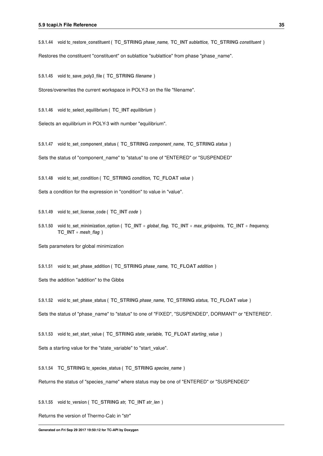<span id="page-46-23"></span><span id="page-46-0"></span>**5.9.1.44 void tc\_restore\_constituent ( TC\_STRING** *phase\_name,* **TC\_INT** *sublattice,* **TC\_STRING** *constituent* **)**

<span id="page-46-13"></span>Restores the constituent "constituent" on sublattice "sublattice" from phase "phase\_name".

<span id="page-46-1"></span>**5.9.1.45 void tc\_save\_poly3\_file ( TC\_STRING** *filename* **)**

<span id="page-46-14"></span>Stores/overwrites the current workspace in POLY-3 on the file "filename".

<span id="page-46-2"></span>**5.9.1.46 void tc\_select\_equilibrium ( TC\_INT** *equilibrium* **)**

<span id="page-46-15"></span>Selects an equilibrium in POLY-3 with number "equilibrium".

<span id="page-46-3"></span>**5.9.1.47 void tc\_set\_component\_status ( TC\_STRING** *component\_name,* **TC\_STRING** *status* **)**

<span id="page-46-16"></span>Sets the status of "component\_name" to "status" to one of "ENTERED" or "SUSPENDED"

<span id="page-46-4"></span>**5.9.1.48 void tc\_set\_condition ( TC\_STRING** *condition,* **TC\_FLOAT** *value* **)**

<span id="page-46-17"></span>Sets a condition for the expression in "condition" to value in "value".

<span id="page-46-5"></span>**5.9.1.49 void tc\_set\_license\_code ( TC\_INT** *code* **)**

<span id="page-46-6"></span>**5.9.1.50 void tc\_set\_minimization\_option ( TC\_INT** ∗ *global\_flag,* **TC\_INT** ∗ *max\_gridpoints,* **TC\_INT** ∗ *frequency,* **TC\_INT** ∗ *mesh\_flag* **)**

<span id="page-46-18"></span>Sets parameters for global minimization

<span id="page-46-7"></span>**5.9.1.51 void tc\_set\_phase\_addition ( TC\_STRING** *phase\_name,* **TC\_FLOAT** *addition* **)**

<span id="page-46-19"></span>Sets the addition "addition" to the Gibbs

<span id="page-46-8"></span>**5.9.1.52 void tc\_set\_phase\_status ( TC\_STRING** *phase\_name,* **TC\_STRING** *status,* **TC\_FLOAT** *value* **)**

<span id="page-46-20"></span>Sets the status of "phase\_name" to "status" to one of "FIXED", "SUSPENDED", DORMANT" or "ENTERED".

<span id="page-46-9"></span>**5.9.1.53 void tc\_set\_start\_value ( TC\_STRING** *state\_variable,* **TC\_FLOAT** *starting\_value* **)**

<span id="page-46-21"></span>Sets a starting value for the "state variable" to "start value".

<span id="page-46-10"></span>**5.9.1.54 TC\_STRING tc\_species\_status ( TC\_STRING** *species\_name* **)**

<span id="page-46-22"></span>Returns the status of "species\_name" where status may be one of "ENTERED" or "SUSPENDED"

<span id="page-46-11"></span>**5.9.1.55 void tc\_version ( TC\_STRING** *str,* **TC\_INT** *str\_len* **)**

<span id="page-46-12"></span>Returns the version of Thermo-Calc in "str"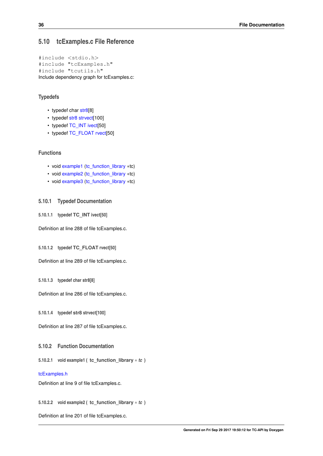### <span id="page-47-14"></span><span id="page-47-0"></span>**5.10 tcExamples.c File Reference**

```
#include <stdio.h>
#include "tcExamples.h"
#include "tcutils.h"
Include dependency graph for tcExamples.c:
```
#### **Typedefs**

- typedef char [str8\[](#page-47-9)8]
- typedef [str8](#page-47-9) [strvect\[](#page-47-10)100]
- typedef [TC\\_INT](#page-40-13) [ivect\[](#page-47-2)50]
- typedef [TC\\_FLOAT](#page-40-14) [rvect\[](#page-47-11)50]

### **Functions**

- void [example1](#page-47-7) [\(tc\\_function\\_library](#page-33-22) ∗tc)
- void [example2](#page-47-12) [\(tc\\_function\\_library](#page-33-22) ∗tc)
- void [example3](#page-47-13) [\(tc\\_function\\_library](#page-33-22) ∗tc)

#### <span id="page-47-1"></span>**5.10.1 Typedef Documentation**

<span id="page-47-2"></span>**5.10.1.1 typedef TC\_INT ivect[50]**

<span id="page-47-11"></span>Definition at line 288 of file tcExamples.c.

<span id="page-47-3"></span>**5.10.1.2 typedef TC\_FLOAT rvect[50]**

<span id="page-47-9"></span>Definition at line 289 of file tcExamples.c.

<span id="page-47-4"></span>**5.10.1.3 typedef char str8[8]**

<span id="page-47-10"></span>Definition at line 286 of file tcExamples.c.

<span id="page-47-5"></span>**5.10.1.4 typedef str8 strvect[100]**

Definition at line 287 of file tcExamples.c.

#### <span id="page-47-6"></span>**5.10.2 Function Documentation**

<span id="page-47-7"></span>**5.10.2.1 void example1 ( tc\_function\_library** ∗ *tc* **)**

#### [tcExamples.h](#page-48-7)

<span id="page-47-12"></span>Definition at line 9 of file tcExamples.c.

<span id="page-47-8"></span>**5.10.2.2 void example2 ( tc\_function\_library** ∗ *tc* **)**

<span id="page-47-13"></span>Definition at line 201 of file tcExamples.c.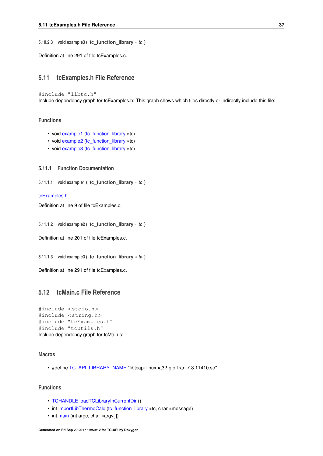<span id="page-48-11"></span><span id="page-48-0"></span>**5.10.2.3 void example3 ( tc\_function\_library** ∗ *tc* **)**

<span id="page-48-7"></span>Definition at line 291 of file tcExamples.c.

# <span id="page-48-1"></span>**5.11 tcExamples.h File Reference**

#include "libtc.h" Include dependency graph for tcExamples.h: This graph shows which files directly or indirectly include this file:

#### **Functions**

- void [example1](#page-48-3) [\(tc\\_function\\_library](#page-33-22) ∗tc)
- void [example2](#page-48-9) [\(tc\\_function\\_library](#page-33-22) ∗tc)
- void [example3](#page-48-10) [\(tc\\_function\\_library](#page-33-22) ∗tc)

#### <span id="page-48-2"></span>**5.11.1 Function Documentation**

```
5.11.1.1 void example1 ( tc_function_library ∗ tc )
```
#### [tcExamples.h](#page-48-7)

<span id="page-48-9"></span>Definition at line 9 of file tcExamples.c.

<span id="page-48-4"></span>**5.11.1.2 void example2 ( tc\_function\_library** ∗ *tc* **)**

<span id="page-48-10"></span>Definition at line 201 of file tcExamples.c.

<span id="page-48-5"></span>**5.11.1.3 void example3 ( tc\_function\_library** ∗ *tc* **)**

<span id="page-48-8"></span>Definition at line 291 of file tcExamples.c.

## <span id="page-48-6"></span>**5.12 tcMain.c File Reference**

```
#include <stdio.h>
#include <string.h>
#include "tcExamples.h"
#include "tcutils.h"
Include dependency graph for tcMain.c:
```
### **Macros**

• #define [TC\\_API\\_LIBRARY\\_NAME](#page-49-1) "libtcapi-linux-ia32-gfortran-7.8.11410.so"

### **Functions**

- [TCHANDLE](#page-39-13) [loadTCLibraryInCurrentDir](#page-49-12) ()
- int [importLibThermoCalc](#page-49-3) [\(tc\\_function\\_library](#page-33-22) ∗tc, char ∗message)
- int [main](#page-49-13) (int argc, char ∗argv[ ])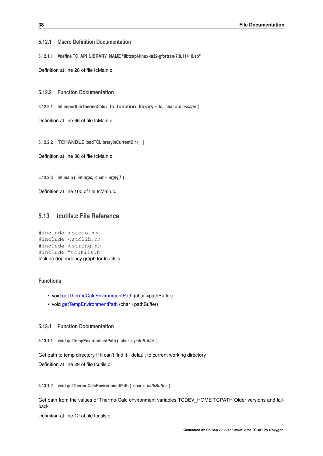#### <span id="page-49-15"></span><span id="page-49-0"></span>**5.12.1 Macro Definition Documentation**

<span id="page-49-1"></span>**5.12.1.1 #define TC\_API\_LIBRARY\_NAME "libtcapi-linux-ia32-gfortran-7.8.11410.so"**

Definition at line 28 of file tcMain.c.

<span id="page-49-2"></span>**5.12.2 Function Documentation**

<span id="page-49-3"></span>**5.12.2.1 int importLibThermoCalc ( tc\_function\_library** ∗ *tc,* **char** ∗ *message* **)**

<span id="page-49-12"></span>Definition at line 66 of file tcMain.c.

<span id="page-49-4"></span>**5.12.2.2 TCHANDLE loadTCLibraryInCurrentDir ( )**

<span id="page-49-13"></span>Definition at line 38 of file tcMain.c.

<span id="page-49-5"></span>**5.12.2.3 int main ( int** *argc,* **char** ∗ *argv[ ]* **)**

<span id="page-49-10"></span>Definition at line 100 of file tcMain.c.

# <span id="page-49-6"></span>**5.13 tcutils.c File Reference**

```
#include <stdio.h>
#include <stdlib.h>
#include <string.h>
#include "tcutils.h"
Include dependency graph for tcutils.c:
```
#### **Functions**

- void [getThermoCalcEnvironmentPath](#page-49-14) (char ∗pathBuffer)
- void [getTempEnvironmentPath](#page-49-8) (char ∗pathBuffer)

#### <span id="page-49-7"></span>**5.13.1 Function Documentation**

<span id="page-49-8"></span>**5.13.1.1 void getTempEnvironmentPath ( char** ∗ *pathBuffer* **)**

<span id="page-49-14"></span>Get path to temp directory If it can't find it - default to current working directory Definition at line 29 of file tcutils.c.

<span id="page-49-9"></span>**5.13.1.2 void getThermoCalcEnvironmentPath ( char** ∗ *pathBuffer* **)**

Get path from the values of Thermo-Calc environment variables TCDEV\_HOME TCPATH Older versions and fallback

<span id="page-49-11"></span>Definition at line 12 of file tcutils.c.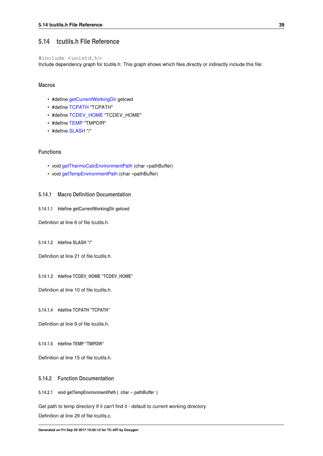### <span id="page-50-14"></span><span id="page-50-0"></span>**5.14 tcutils.h File Reference**

#include <unistd.h>

Include dependency graph for tcutils.h: This graph shows which files directly or indirectly include this file:

**Macros**

- #define [getCurrentWorkingDir](#page-50-2) getcwd
- #define [TCPATH](#page-50-9) "TCPATH"
- #define [TCDEV\\_HOME](#page-50-10) "TCDEV\_HOME"
- #define [TEMP](#page-50-11) "TMPDIR"
- #define [SLASH](#page-50-12) "/"

# **Functions**

- void [getThermoCalcEnvironmentPath](#page-50-13) (char ∗pathBuffer)
- void [getTempEnvironmentPath](#page-50-8) (char ∗pathBuffer)

#### <span id="page-50-1"></span>**5.14.1 Macro Definition Documentation**

<span id="page-50-2"></span>**5.14.1.1 #define getCurrentWorkingDir getcwd**

<span id="page-50-12"></span>Definition at line 6 of file tcutils.h.

<span id="page-50-3"></span>**5.14.1.2 #define SLASH "/"**

<span id="page-50-10"></span>Definition at line 21 of file tcutils.h.

<span id="page-50-4"></span>**5.14.1.3 #define TCDEV\_HOME "TCDEV\_HOME"**

<span id="page-50-9"></span>Definition at line 10 of file tcutils.h.

<span id="page-50-5"></span>**5.14.1.4 #define TCPATH "TCPATH"**

<span id="page-50-11"></span>Definition at line 9 of file tcutils.h.

<span id="page-50-6"></span>**5.14.1.5 #define TEMP "TMPDIR"**

Definition at line 15 of file tcutils.h.

#### <span id="page-50-7"></span>**5.14.2 Function Documentation**

<span id="page-50-8"></span>**5.14.2.1 void getTempEnvironmentPath ( char** ∗ *pathBuffer* **)**

<span id="page-50-13"></span>Get path to temp directory If it can't find it - default to current working directory Definition at line 29 of file tcutils.c.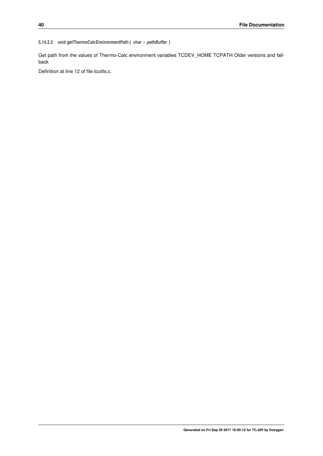#### <span id="page-51-0"></span>**5.14.2.2 void getThermoCalcEnvironmentPath ( char** ∗ *pathBuffer* **)**

Get path from the values of Thermo-Calc environment variables TCDEV\_HOME TCPATH Older versions and fallback

Definition at line 12 of file tcutils.c.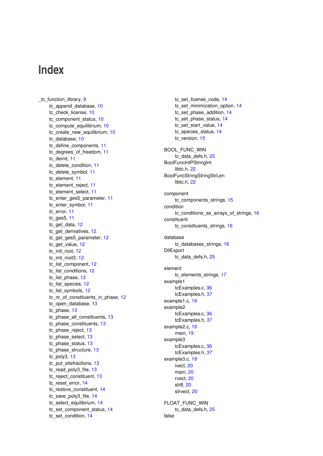# <span id="page-52-0"></span>**Index**

tc\_set\_license\_code, [14](#page-25-24) tc\_set\_minimization\_option, [14](#page-25-24) tc\_set\_phase\_addition, [14](#page-25-24) tc\_set\_phase\_status, [14](#page-25-24) tc\_set\_start\_value, [14](#page-25-24) tc\_species\_status, [14](#page-25-24) tc\_version, [15](#page-26-11) BOOL\_FUNC\_WIN tc\_data\_defs.h, [25](#page-36-7) BoolFuncIntPStringInt libtc.h, [22](#page-33-23) BoolFuncStringStringStrLen libtc.h, [22](#page-33-23) component tc\_components\_strings, [15](#page-26-11) condition tc\_conditions\_as\_arrays\_of\_strings, [16](#page-27-12) constituent tc\_constituents\_strings, [16](#page-27-12) database tc\_databases\_strings, [16](#page-27-12) DllExport tc\_data\_defs.h, [25](#page-36-7) element tc\_elements\_strings, [17](#page-28-12) example1 tcExamples.c, [36](#page-47-14) tcExamples.h, [37](#page-48-11) example1.c, [19](#page-30-8) example2 tcExamples.c, [36](#page-47-14) tcExamples.h, [37](#page-48-11) example2.c, [19](#page-30-8) main, [19](#page-30-8) example3 tcExamples.c, [36](#page-47-14) tcExamples.h, [37](#page-48-11) example3.c, [19](#page-30-8) ivect, [20](#page-31-15) main, [20](#page-31-15) rvect, [20](#page-31-15) str8, [20](#page-31-15) strvect, [20](#page-31-15) FLOAT\_FUNC\_WIN tc\_data\_defs.h, [25](#page-36-7) false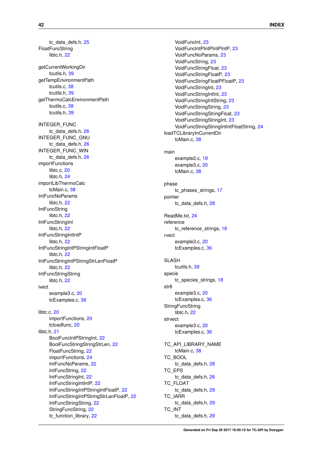tc\_data\_defs.h, [25](#page-36-7) FloatFuncString libtc.h, [22](#page-33-23) getCurrentWorkingDir tcutils.h, [39](#page-50-14) getTempEnvironmentPath tcutils.c, [38](#page-49-15) tcutils.h, [39](#page-50-14) getThermoCalcEnvironmentPath tcutils.c, [38](#page-49-15) tcutils.h, [39](#page-50-14) INTEGER\_FUNC tc\_data\_defs.h, [26](#page-37-24) INTEGER\_FUNC\_GNU tc\_data\_defs.h, [26](#page-37-24) INTEGER\_FUNC\_WIN tc\_data\_defs.h, [26](#page-37-24) importFunctions libtc.c.<sub>[20](#page-31-15)</sub> libtc.h, [24](#page-35-8) importLibThermoCalc tcMain.c, [38](#page-49-15) IntFuncNoParams libtc.h, [22](#page-33-23) **IntFuncString** libtc.h, [22](#page-33-23) IntFuncStringInt libtc.h, [22](#page-33-23) IntFuncStringIntIntP libtc.h, [22](#page-33-23) IntFuncStringIntPStringIntFloatP libtc.h, [22](#page-33-23) IntFuncStringIntPStringStrLenFloatP libtc.h, [22](#page-33-23) **IntFuncStringString** libtc.h, [22](#page-33-23) ivect example3.c, [20](#page-31-15) tcExamples.c, [36](#page-47-14) libtc.c, [20](#page-31-15) importFunctions, [20](#page-31-15) tcloadfunc, [20](#page-31-15) libtc.h, [21](#page-32-3) BoolFuncIntPStringInt, [22](#page-33-23) BoolFuncStringStringStrLen, [22](#page-33-23) FloatFuncString, [22](#page-33-23) importFunctions, [24](#page-35-8) IntFuncNoParams, [22](#page-33-23) IntFuncString, [22](#page-33-23) IntFuncStringInt, [22](#page-33-23) IntFuncStringIntIntP, [22](#page-33-23) IntFuncStringIntPStringIntFloatP, [22](#page-33-23) IntFuncStringIntPStringStrLenFloatP, [22](#page-33-23) IntFuncStringString, [22](#page-33-23) StringFuncString, [22](#page-33-23) tc\_function\_library, [22](#page-33-23)

VoidFuncInt, [23](#page-34-25) VoidFuncIntPIntPIntPIntP, [23](#page-34-25) VoidFuncNoParams, [23](#page-34-25) VoidFuncString, [23](#page-34-25) VoidFuncStringFloat, [23](#page-34-25) VoidFuncStringFloatP, [23](#page-34-25) VoidFuncStringFloatPFloatP, [23](#page-34-25) VoidFuncStringInt, [23](#page-34-25) VoidFuncStringIntInt, [23](#page-34-25) VoidFuncStringIntString, [23](#page-34-25) VoidFuncStringString, [23](#page-34-25) VoidFuncStringStringFloat, [23](#page-34-25) VoidFuncStringStringInt, [23](#page-34-25) VoidFuncStringStringIntIntFloatString, [24](#page-35-8) loadTCLibraryInCurrentDir tcMain.c, [38](#page-49-15) main example2.c, [19](#page-30-8) example3.c, [20](#page-31-15) tcMain.c, [38](#page-49-15) phase tc\_phases\_strings, [17](#page-28-12) pointer tc\_data\_defs.h, [28](#page-39-24) ReadMe.txt, [24](#page-35-8) reference tc\_reference\_strings, [18](#page-29-8) rvect example3.c, [20](#page-31-15) tcExamples.c, [36](#page-47-14) SLASH tcutils.h, [39](#page-50-14) specie tc\_species\_strings, [18](#page-29-8) str8 example3.c, [20](#page-31-15) tcExamples.c, [36](#page-47-14) **StringFuncString** libtc.h, [22](#page-33-23) strvect example3.c, [20](#page-31-15) tcExamples.c, [36](#page-47-14) TC\_API\_LIBRARY\_NAME tcMain.c, [38](#page-49-15) TC\_BOOL tc\_data\_defs.h, [28](#page-39-24) TC\_EPS tc\_data\_defs.h, [26](#page-37-24) TC\_FLOAT tc\_data\_defs.h, [29](#page-40-23) TC\_IARR tc\_data\_defs.h, [29](#page-40-23) TC\_INT

tc\_data\_defs.h, [29](#page-40-23)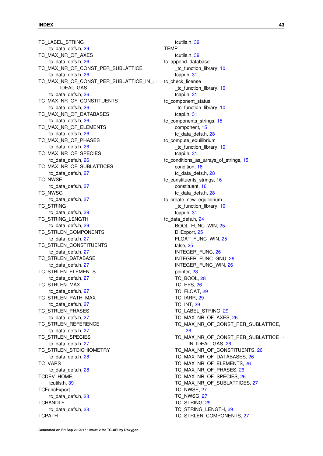TC\_LABEL\_STRING tc\_data\_defs.h, [29](#page-40-23) TC\_MAX\_NR\_OF\_AXES tc\_data\_defs.h, [26](#page-37-24) TC\_MAX\_NR\_OF\_CONST\_PER\_SUBLATTICE tc\_data\_defs.h, [26](#page-37-24) TC\_MAX\_NR\_OF\_CONST\_PER\_SUBLATTICE\_IN\_← IDEAL\_GAS tc\_data\_defs.h, [26](#page-37-24) TC MAX NR OF CONSTITUENTS tc\_data\_defs.h, [26](#page-37-24) TC\_MAX\_NR\_OF\_DATABASES tc\_data\_defs.h, [26](#page-37-24) TC\_MAX\_NR\_OF\_ELEMENTS tc\_data\_defs.h, [26](#page-37-24) TC\_MAX\_NR\_OF\_PHASES tc\_data\_defs.h, [26](#page-37-24) TC\_MAX\_NR\_OF\_SPECIES tc\_data\_defs.h, [26](#page-37-24) TC\_MAX\_NR\_OF\_SUBLATTICES tc\_data\_defs.h, [27](#page-38-24) TC\_NWSE tc\_data\_defs.h, [27](#page-38-24) TC\_NWSG tc\_data\_defs.h, [27](#page-38-24) TC STRING tc\_data\_defs.h, [29](#page-40-23) TC\_STRING\_LENGTH tc data defs.h, [29](#page-40-23) TC\_STRLEN\_COMPONENTS tc\_data\_defs.h, [27](#page-38-24) TC\_STRLEN\_CONSTITUENTS tc\_data\_defs.h, [27](#page-38-24) TC\_STRLEN\_DATABASE tc\_data\_defs.h, [27](#page-38-24) TC\_STRLEN\_ELEMENTS tc\_data\_defs.h, [27](#page-38-24) TC\_STRLEN\_MAX tc\_data\_defs.h, [27](#page-38-24) TC\_STRLEN\_PATH\_MAX tc\_data\_defs.h, [27](#page-38-24) TC\_STRLEN\_PHASES tc\_data\_defs.h, [27](#page-38-24) TC\_STRLEN\_REFERENCE tc\_data\_defs.h, [27](#page-38-24) TC\_STRLEN\_SPECIES tc\_data\_defs.h, [27](#page-38-24) TC STRLEN STOICHIOMETRY tc\_data\_defs.h, [28](#page-39-24) TC\_VARS tc\_data\_defs.h, [28](#page-39-24) TCDEV\_HOME tcutils.h, [39](#page-50-14) **TCFuncExport** tc\_data\_defs.h, [28](#page-39-24) **TCHANDLE** tc\_data\_defs.h, [28](#page-39-24) **TCPATH** 

tcutils.h, [39](#page-50-14)

tcutils.h, [39](#page-50-14)

**TEMP**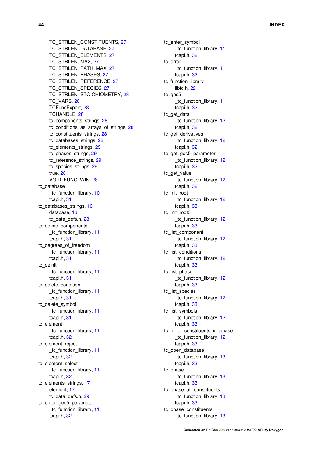TC\_STRLEN\_CONSTITUENTS, [27](#page-38-24) TC\_STRLEN\_DATABASE, [27](#page-38-24) TC\_STRLEN\_ELEMENTS, [27](#page-38-24) TC\_STRLEN\_MAX, [27](#page-38-24) TC\_STRLEN\_PATH\_MAX, [27](#page-38-24) TC\_STRLEN\_PHASES, [27](#page-38-24) TC\_STRLEN\_REFERENCE, [27](#page-38-24) TC\_STRLEN\_SPECIES, [27](#page-38-24) TC STRLEN STOICHIOMETRY, [28](#page-39-24) TC\_VARS, [28](#page-39-24) TCFuncExport, [28](#page-39-24) TCHANDLE, [28](#page-39-24) tc\_components\_strings, [28](#page-39-24) tc\_conditions\_as\_arrays\_of\_strings, [28](#page-39-24) tc\_constituents\_strings, [28](#page-39-24) tc\_databases\_strings, [28](#page-39-24) tc\_elements\_strings, [29](#page-40-23) tc\_phases\_strings, [29](#page-40-23) tc\_reference\_strings, [29](#page-40-23) tc\_species\_strings, [29](#page-40-23) true, [28](#page-39-24) VOID\_FUNC\_WIN, [28](#page-39-24) tc\_database tc\_function\_library, [10](#page-21-12) tcapi.h, [31](#page-42-20) tc\_databases\_strings, [16](#page-27-12) database, [16](#page-27-12) tc\_data\_defs.h, [28](#page-39-24) tc\_define\_components \_tc\_function\_library, [11](#page-22-24) tcapi.h, [31](#page-42-20) tc\_degrees\_of\_freedom \_tc\_function\_library, [11](#page-22-24) tcapi.h, [31](#page-42-20) tc\_deinit tc function library, [11](#page-22-24) tcapi.h, [31](#page-42-20) tc\_delete\_condition \_tc\_function\_library, [11](#page-22-24) tcapi.h, [31](#page-42-20) tc\_delete\_symbol \_tc\_function\_library, [11](#page-22-24) tcapi.h, [31](#page-42-20) tc\_element tc function library, [11](#page-22-24) tcapi.h, [32](#page-43-22) tc\_element\_reject tc function library, [11](#page-22-24) tcapi.h, [32](#page-43-22) tc\_element\_select \_tc\_function\_library, [11](#page-22-24) tcapi.h, [32](#page-43-22) tc\_elements\_strings, [17](#page-28-12) element, [17](#page-28-12) tc\_data\_defs.h, [29](#page-40-23) tc\_enter\_ges5\_parameter tc\_function\_library, [11](#page-22-24) tcapi.h, [32](#page-43-22)

tc\_enter\_symbol tc function library, [11](#page-22-24) tcapi.h, [32](#page-43-22) tc\_error tc function library, [11](#page-22-24) tcapi.h, [32](#page-43-22) tc\_function\_library libtc.h, [22](#page-33-23) tc\_ges5 tc function library, [11](#page-22-24) tcapi.h, [32](#page-43-22) tc\_get\_data \_tc\_function\_library, [12](#page-23-24) tcapi.h, [32](#page-43-22) tc\_get\_derivatives \_tc\_function\_library, [12](#page-23-24) tcapi.h, [32](#page-43-22) tc\_get\_ges5\_parameter \_tc\_function\_library, [12](#page-23-24) tcapi.h, [32](#page-43-22) tc\_get\_value \_tc\_function\_library, [12](#page-23-24) tcapi.h, [32](#page-43-22) tc\_init\_root tc\_function\_library, [12](#page-23-24) tcapi.h, [33](#page-44-21) tc\_init\_root3 tc function library, [12](#page-23-24) tcapi.h, [33](#page-44-21) tc\_list\_component tc\_function\_library, [12](#page-23-24) tcapi.h, [33](#page-44-21) tc\_list\_conditions \_tc\_function\_library, [12](#page-23-24) tcapi.h, [33](#page-44-21) tc\_list\_phase tc\_function\_library, [12](#page-23-24) tcapi.h, [33](#page-44-21) tc\_list\_species \_tc\_function\_library, [12](#page-23-24) tcapi.h, [33](#page-44-21) tc\_list\_symbols tc\_function\_library, [12](#page-23-24) tcapi.h, [33](#page-44-21) tc\_nr\_of\_constituents\_in\_phase \_tc\_function\_library, [12](#page-23-24) tcapi.h, [33](#page-44-21) tc\_open\_database tc function library, [13](#page-24-24) tcapi.h, [33](#page-44-21) tc\_phase tc function library, [13](#page-24-24) tcapi.h, [33](#page-44-21) tc\_phase\_all\_constituents \_tc\_function\_library, [13](#page-24-24) tcapi.h, [33](#page-44-21) tc\_phase\_constituents tc function library, [13](#page-24-24)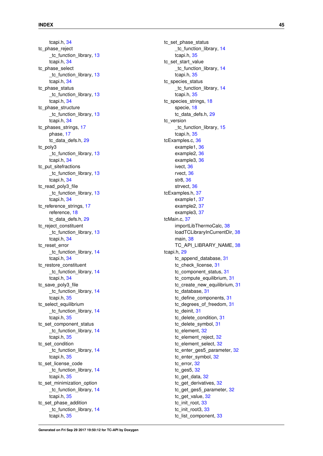tcapi.h, [34](#page-45-21) tc\_phase\_reject \_tc\_function\_library, [13](#page-24-24) tcapi.h, [34](#page-45-21) tc\_phase\_select \_tc\_function\_library, [13](#page-24-24) tcapi.h, [34](#page-45-21) tc\_phase\_status tc function library, [13](#page-24-24) tcapi.h, [34](#page-45-21) tc\_phase\_structure tc function library, [13](#page-24-24) tcapi.h, [34](#page-45-21) tc\_phases\_strings, [17](#page-28-12) phase, [17](#page-28-12) tc\_data\_defs.h, [29](#page-40-23) tc\_poly3 tc function library, [13](#page-24-24) tcapi.h, [34](#page-45-21) tc\_put\_sitefractions \_tc\_function\_library, [13](#page-24-24) tcapi.h, [34](#page-45-21) tc\_read\_poly3\_file tc\_function\_library, [13](#page-24-24) tcapi.h, [34](#page-45-21) tc\_reference\_strings, [17](#page-28-12) reference, [18](#page-29-8) tc\_data\_defs.h, [29](#page-40-23) tc\_reject\_constituent \_tc\_function\_library, [13](#page-24-24) tcapi.h, [34](#page-45-21) tc\_reset\_error \_tc\_function\_library, [14](#page-25-24) tcapi.h, [34](#page-45-21) tc\_restore\_constituent tc function library, [14](#page-25-24) tcapi.h, [34](#page-45-21) tc\_save\_poly3\_file \_tc\_function\_library, [14](#page-25-24) tcapi.h, [35](#page-46-23) tc\_select\_equilibrium \_tc\_function\_library, [14](#page-25-24) tcapi.h, [35](#page-46-23) tc\_set\_component\_status tc\_function\_library, [14](#page-25-24) tcapi.h, [35](#page-46-23) tc\_set\_condition tc function library, [14](#page-25-24) tcapi.h, [35](#page-46-23) tc\_set\_license\_code \_tc\_function\_library, [14](#page-25-24) tcapi.h, [35](#page-46-23) tc\_set\_minimization\_option tc function library, [14](#page-25-24) tcapi.h, [35](#page-46-23) tc\_set\_phase\_addition tc\_function\_library, [14](#page-25-24) tcapi.h, [35](#page-46-23)